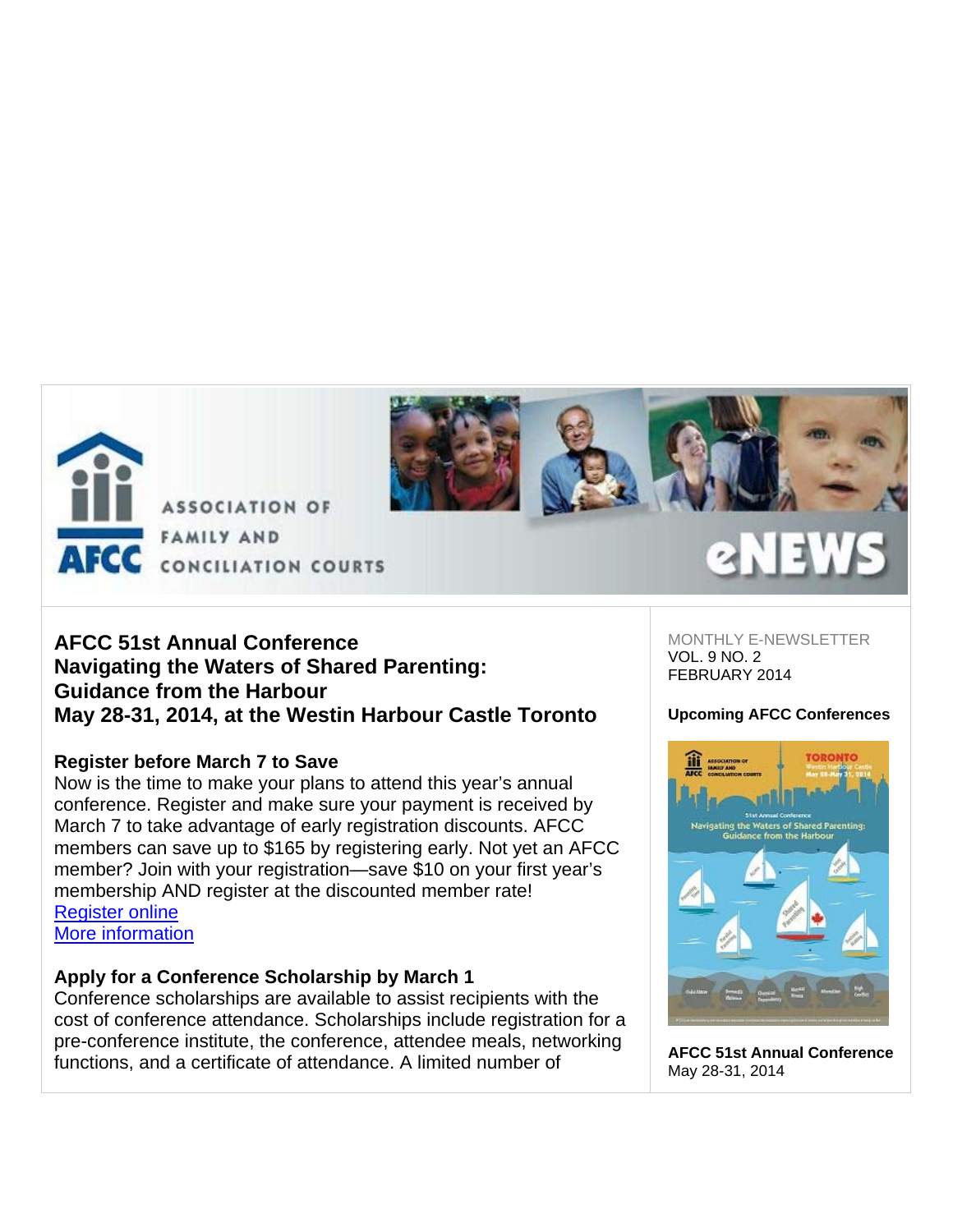

**FAMILY AND** CONCILIATION COURTS

# **AFCC 51st Annual Conference Navigating the Waters of Shared Parenting: Guidance from the Harbour May 28-31, 2014, at the Westin Harbour Castle Toronto**

# **Register before March 7 to Save**

Now is the time to make your plans to attend this year's annual conference. Register and make sure your payment is received by March 7 to take advantage of early registration discounts. AFCC members can save up to \$165 by registering early. Not yet an AFCC member? Join with your registration—save \$10 on your first year's membership AND register at the discounted member rate! Register online More information

AFCC

# **Apply for a Conference Scholarship by March 1**

Conference scholarships are available to assist recipients with the cost of conference attendance. Scholarships include registration for a pre-conference institute, the conference, attendee meals, networking functions, and a certificate of attendance. A limited number of

MONTHLY E-NEWSLETTER VOL. 9 NO. 2 FEBRUARY 2014

# **Upcoming AFCC Conferences**



**AFCC 51st Annual Conference** May 28-31, 2014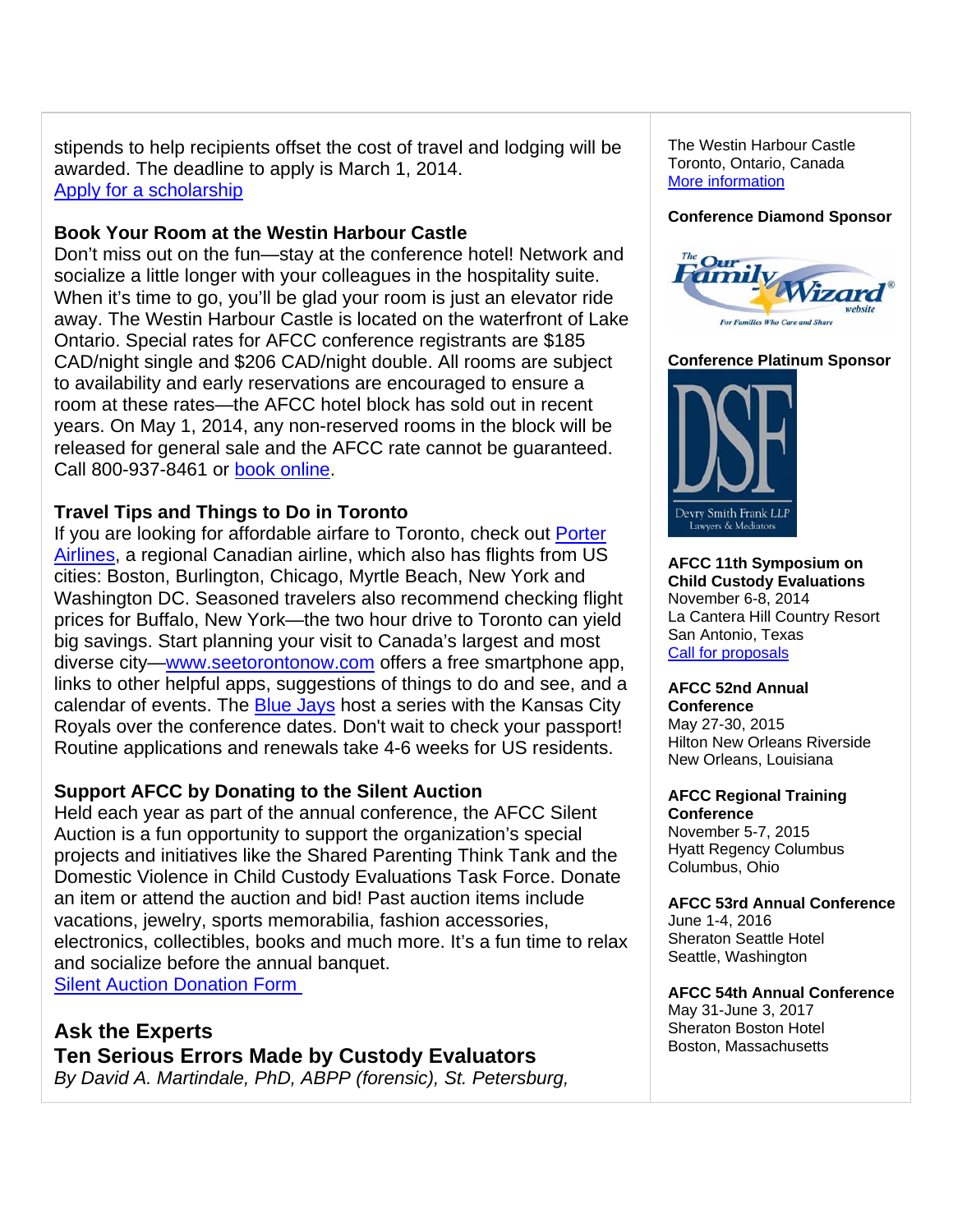stipends to help recipients offset the cost of travel and lodging will be awarded. The deadline to apply is March 1, 2014. Apply for a scholarship

# **Book Your Room at the Westin Harbour Castle**

Don't miss out on the fun—stay at the conference hotel! Network and socialize a little longer with your colleagues in the hospitality suite. When it's time to go, you'll be glad your room is just an elevator ride away. The Westin Harbour Castle is located on the waterfront of Lake Ontario. Special rates for AFCC conference registrants are \$185 CAD/night single and \$206 CAD/night double. All rooms are subject to availability and early reservations are encouraged to ensure a room at these rates—the AFCC hotel block has sold out in recent years. On May 1, 2014, any non-reserved rooms in the block will be released for general sale and the AFCC rate cannot be guaranteed. Call 800-937-8461 or book online.

# **Travel Tips and Things to Do in Toronto**

If you are looking for affordable airfare to Toronto, check out Porter Airlines, a regional Canadian airline, which also has flights from US cities: Boston, Burlington, Chicago, Myrtle Beach, New York and Washington DC. Seasoned travelers also recommend checking flight prices for Buffalo, New York—the two hour drive to Toronto can yield big savings. Start planning your visit to Canada's largest and most diverse city—www.seetorontonow.com offers a free smartphone app, links to other helpful apps, suggestions of things to do and see, and a calendar of events. The **Blue Jays** host a series with the Kansas City Royals over the conference dates. Don't wait to check your passport! Routine applications and renewals take 4-6 weeks for US residents.

# **Support AFCC by Donating to the Silent Auction**

Held each year as part of the annual conference, the AFCC Silent Auction is a fun opportunity to support the organization's special projects and initiatives like the Shared Parenting Think Tank and the Domestic Violence in Child Custody Evaluations Task Force. Donate an item or attend the auction and bid! Past auction items include vacations, jewelry, sports memorabilia, fashion accessories, electronics, collectibles, books and much more. It's a fun time to relax and socialize before the annual banquet. Silent Auction Donation Form

**Ask the Experts Ten Serious Errors Made by Custody Evaluators** *By David A. Martindale, PhD, ABPP (forensic), St. Petersburg,* 

The Westin Harbour Castle Toronto, Ontario, Canada More information

#### **Conference Diamond Sponsor**



**Conference Platinum Sponsor** 



**AFCC 11th Symposium on Child Custody Evaluations** November 6-8, 2014 La Cantera Hill Country Resort San Antonio, Texas Call for proposals

# **AFCC 52nd Annual**

**Conference** May 27-30, 2015 Hilton New Orleans Riverside New Orleans, Louisiana

#### **AFCC Regional Training Conference**

November 5-7, 2015 Hyatt Regency Columbus Columbus, Ohio

## **AFCC 53rd Annual Conference**

June 1-4, 2016 Sheraton Seattle Hotel Seattle, Washington

## **AFCC 54th Annual Conference**

May 31-June 3, 2017 Sheraton Boston Hotel Boston, Massachusetts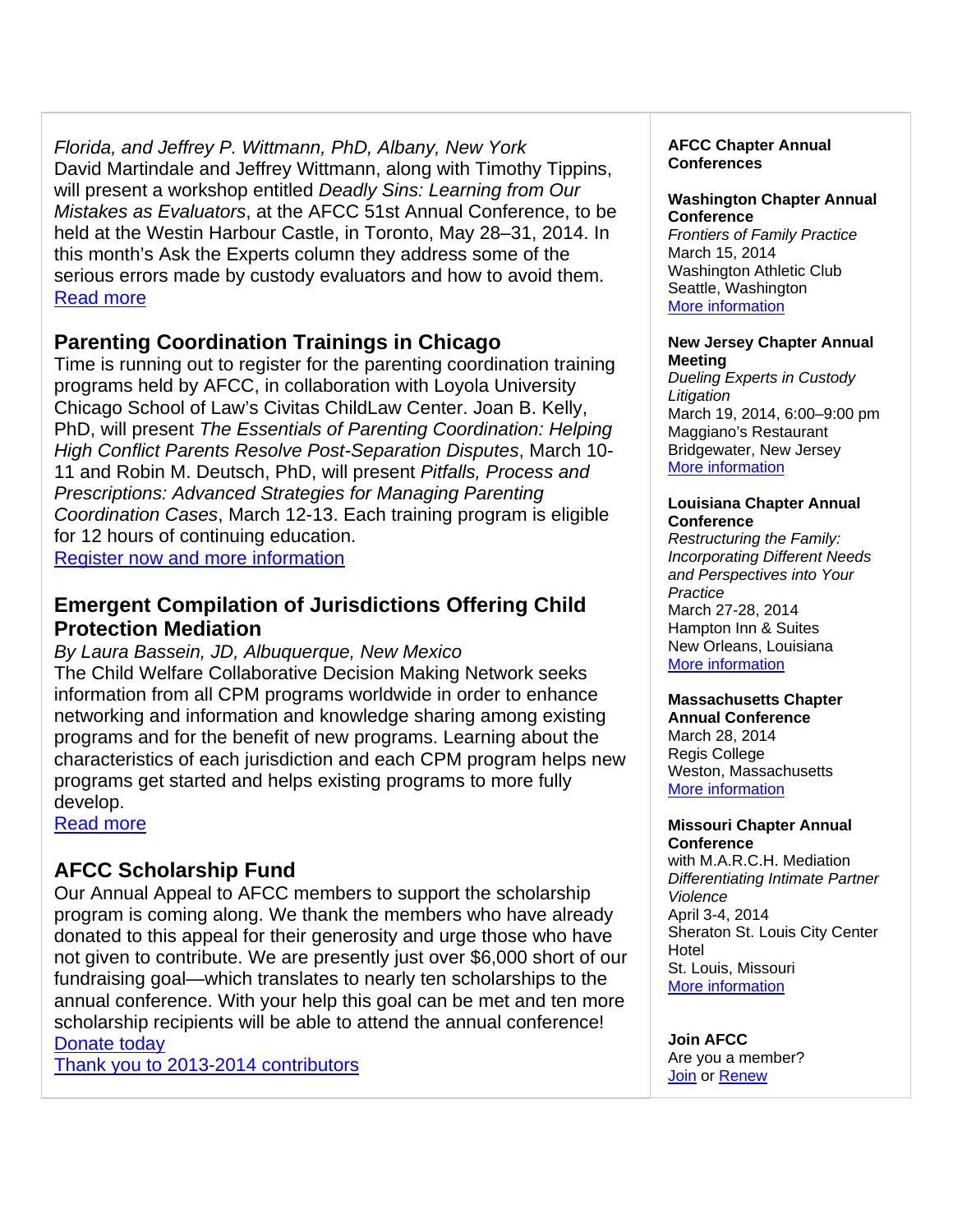*Florida, and Jeffrey P. Wittmann, PhD, Albany, New York* David Martindale and Jeffrey Wittmann, along with Timothy Tippins, will present a workshop entitled *Deadly Sins: Learning from Our Mistakes as Evaluators*, at the AFCC 51st Annual Conference, to be held at the Westin Harbour Castle, in Toronto, May 28–31, 2014. In this month's Ask the Experts column they address some of the serious errors made by custody evaluators and how to avoid them. Read more

# **Parenting Coordination Trainings in Chicago**

Time is running out to register for the parenting coordination training programs held by AFCC, in collaboration with Loyola University Chicago School of Law's Civitas ChildLaw Center. Joan B. Kelly, PhD, will present *The Essentials of Parenting Coordination: Helping High Conflict Parents Resolve Post-Separation Disputes*, March 10- 11 and Robin M. Deutsch, PhD, will present *Pitfalls, Process and Prescriptions: Advanced Strategies for Managing Parenting Coordination Cases*, March 12-13. Each training program is eligible for 12 hours of continuing education. Register now and more information

# **Emergent Compilation of Jurisdictions Offering Child Protection Mediation**

*By Laura Bassein, JD, Albuquerque, New Mexico*  The Child Welfare Collaborative Decision Making Network seeks information from all CPM programs worldwide in order to enhance networking and information and knowledge sharing among existing programs and for the benefit of new programs. Learning about the characteristics of each jurisdiction and each CPM program helps new programs get started and helps existing programs to more fully develop.

Read more

# **AFCC Scholarship Fund**

Our Annual Appeal to AFCC members to support the scholarship program is coming along. We thank the members who have already donated to this appeal for their generosity and urge those who have not given to contribute. We are presently just over \$6,000 short of our fundraising goal—which translates to nearly ten scholarships to the annual conference. With your help this goal can be met and ten more scholarship recipients will be able to attend the annual conference! Donate today

Thank you to 2013-2014 contributors

## **AFCC Chapter Annual Conferences**

## **Washington Chapter Annual Conference**

*Frontiers of Family Practice* March 15, 2014 Washington Athletic Club Seattle, Washington More information

#### **New Jersey Chapter Annual Meeting**

*Dueling Experts in Custody Litigation* March 19, 2014, 6:00–9:00 pm Maggiano's Restaurant Bridgewater, New Jersey More information

#### **Louisiana Chapter Annual Conference**

*Restructuring the Family: Incorporating Different Needs and Perspectives into Your Practice* March 27-28, 2014 Hampton Inn & Suites New Orleans, Louisiana More information

# **Massachusetts Chapter**

**Annual Conference** March 28, 2014 Regis College Weston, Massachusetts More information

#### **Missouri Chapter Annual Conference**

with M.A.R.C.H. Mediation *Differentiating Intimate Partner Violence* April 3-4, 2014 Sheraton St. Louis City Center Hotel St. Louis, Missouri More information

**Join AFCC**  Are you a member? Join or Renew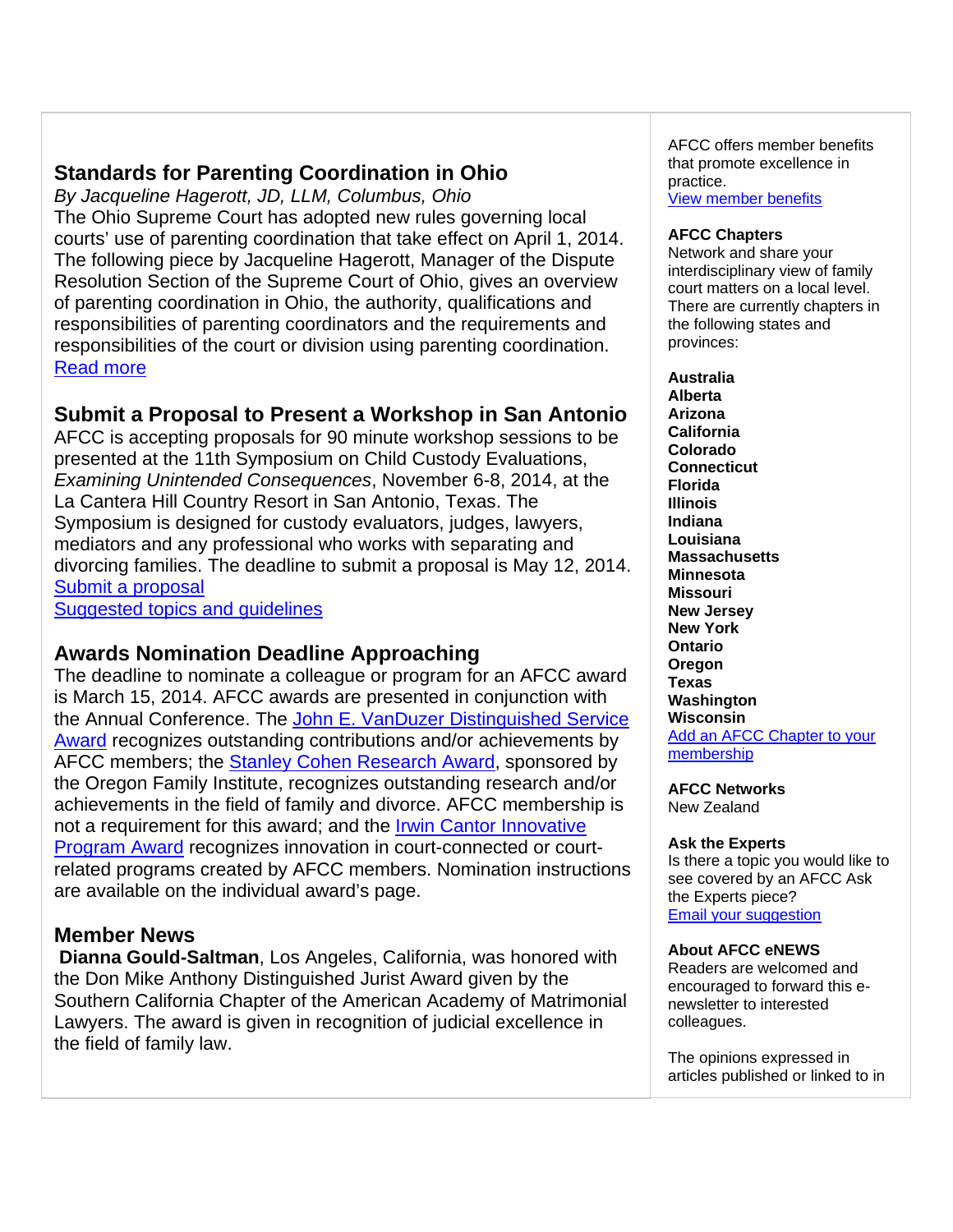# **Standards for Parenting Coordination in Ohio**

*By Jacqueline Hagerott, JD, LLM, Columbus, Ohio* The Ohio Supreme Court has adopted new rules governing local courts' use of parenting coordination that take effect on April 1, 2014. The following piece by Jacqueline Hagerott, Manager of the Dispute Resolution Section of the Supreme Court of Ohio, gives an overview of parenting coordination in Ohio, the authority, qualifications and responsibilities of parenting coordinators and the requirements and responsibilities of the court or division using parenting coordination. Read more

# **Submit a Proposal to Present a Workshop in San Antonio**

AFCC is accepting proposals for 90 minute workshop sessions to be presented at the 11th Symposium on Child Custody Evaluations, *Examining Unintended Consequences*, November 6-8, 2014, at the La Cantera Hill Country Resort in San Antonio, Texas. The Symposium is designed for custody evaluators, judges, lawyers, mediators and any professional who works with separating and divorcing families. The deadline to submit a proposal is May 12, 2014. Submit a proposal

Suggested topics and guidelines

# **Awards Nomination Deadline Approaching**

The deadline to nominate a colleague or program for an AFCC award is March 15, 2014. AFCC awards are presented in conjunction with the Annual Conference. The John E. VanDuzer Distinguished Service Award recognizes outstanding contributions and/or achievements by AFCC members; the Stanley Cohen Research Award, sponsored by the Oregon Family Institute, recognizes outstanding research and/or achievements in the field of family and divorce. AFCC membership is not a requirement for this award; and the Irwin Cantor Innovative Program Award recognizes innovation in court-connected or courtrelated programs created by AFCC members. Nomination instructions are available on the individual award's page.

# **Member News**

**Dianna Gould-Saltman**, Los Angeles, California, was honored with the Don Mike Anthony Distinguished Jurist Award given by the Southern California Chapter of the American Academy of Matrimonial Lawyers. The award is given in recognition of judicial excellence in the field of family law.

AFCC offers member benefits that promote excellence in practice.

View member benefits

#### **AFCC Chapters**

Network and share your interdisciplinary view of family court matters on a local level. There are currently chapters in the following states and provinces:

#### **Australia Alberta**

**Arizona California Colorado Connecticut Florida Illinois Indiana Louisiana Massachusetts Minnesota Missouri New Jersey New York Ontario Oregon Texas Washington Wisconsin**  Add an AFCC Chapter to your membership

## **AFCC Networks**

New Zealand

#### **Ask the Experts**

Is there a topic you would like to see covered by an AFCC Ask the Experts piece? Email your suggestion

#### **About AFCC eNEWS**

Readers are welcomed and encouraged to forward this enewsletter to interested colleagues.

The opinions expressed in articles published or linked to in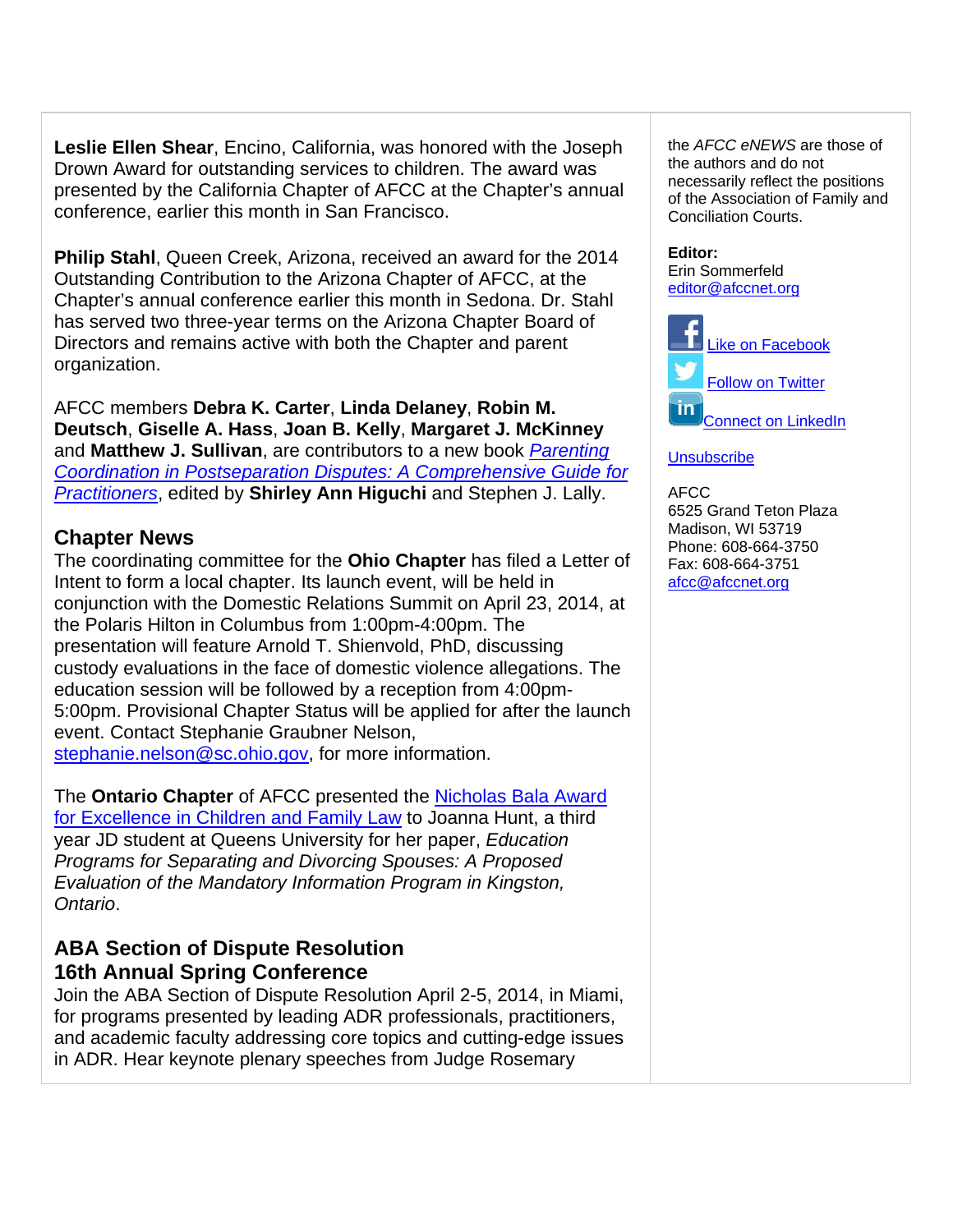**Leslie Ellen Shear**, Encino, California, was honored with the Joseph Drown Award for outstanding services to children. The award was presented by the California Chapter of AFCC at the Chapter's annual conference, earlier this month in San Francisco.

**Philip Stahl**, Queen Creek, Arizona, received an award for the 2014 Outstanding Contribution to the Arizona Chapter of AFCC, at the Chapter's annual conference earlier this month in Sedona. Dr. Stahl has served two three-year terms on the Arizona Chapter Board of Directors and remains active with both the Chapter and parent organization.

AFCC members **Debra K. Carter**, **Linda Delaney**, **Robin M. Deutsch**, **Giselle A. Hass**, **Joan B. Kelly**, **Margaret J. McKinney** and **Matthew J. Sullivan**, are contributors to a new book *Parenting Coordination in Postseparation Disputes: A Comprehensive Guide for Practitioners*, edited by **Shirley Ann Higuchi** and Stephen J. Lally.

# **Chapter News**

The coordinating committee for the **Ohio Chapter** has filed a Letter of Intent to form a local chapter. Its launch event, will be held in conjunction with the Domestic Relations Summit on April 23, 2014, at the Polaris Hilton in Columbus from 1:00pm-4:00pm. The presentation will feature Arnold T. Shienvold, PhD, discussing custody evaluations in the face of domestic violence allegations. The education session will be followed by a reception from 4:00pm-5:00pm. Provisional Chapter Status will be applied for after the launch event. Contact Stephanie Graubner Nelson, stephanie.nelson@sc.ohio.gov, for more information.

The **Ontario Chapter** of AFCC presented the Nicholas Bala Award for Excellence in Children and Family Law to Joanna Hunt, a third year JD student at Queens University for her paper, *Education Programs for Separating and Divorcing Spouses: A Proposed Evaluation of the Mandatory Information Program in Kingston, Ontario*.

# **ABA Section of Dispute Resolution 16th Annual Spring Conference**

Join the ABA Section of Dispute Resolution April 2-5, 2014, in Miami, for programs presented by leading ADR professionals, practitioners, and academic faculty addressing core topics and cutting-edge issues in ADR. Hear keynote plenary speeches from Judge Rosemary

the *AFCC eNEWS* are those of the authors and do not necessarily reflect the positions of the Association of Family and Conciliation Courts.

## **Editor:**

Erin Sommerfeld editor@afccnet.org



## **Unsubscribe**

AFCC 6525 Grand Teton Plaza Madison, WI 53719 Phone: 608-664-3750 Fax: 608-664-3751 afcc@afccnet.org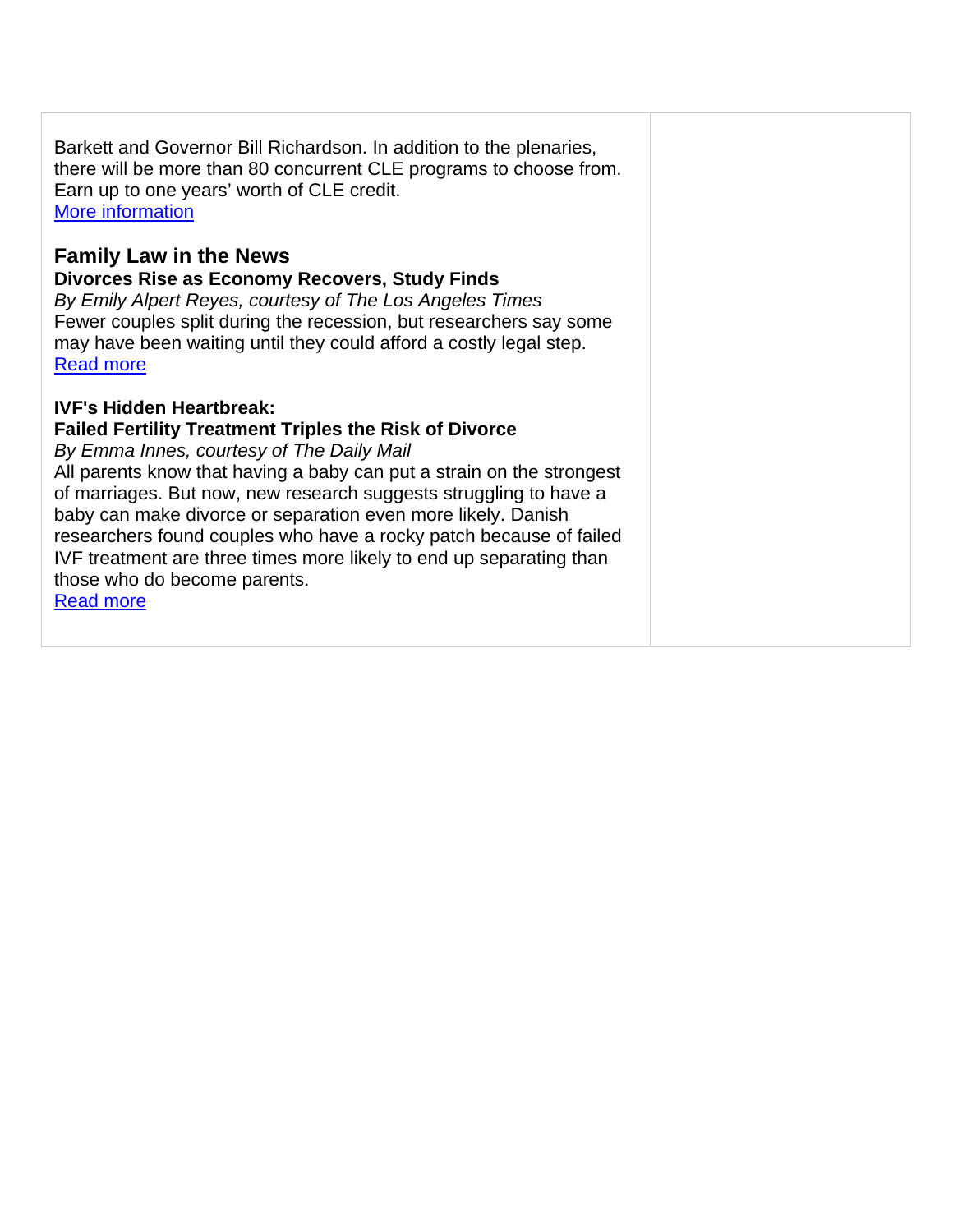Barkett and Governor Bill Richardson. In addition to the plenaries, there will be more than 80 concurrent CLE programs to choose from. Earn up to one years' worth of CLE credit. More information

# **Family Law in the News**

**Divorces Rise as Economy Recovers, Study Finds** 

*By Emily Alpert Reyes, courtesy of The Los Angeles Times* Fewer couples split during the recession, but researchers say some may have been waiting until they could afford a costly legal step. Read more

# **IVF's Hidden Heartbreak:**

# **Failed Fertility Treatment Triples the Risk of Divorce**

*By Emma Innes, courtesy of The Daily Mail* 

All parents know that having a baby can put a strain on the strongest of marriages. But now, new research suggests struggling to have a baby can make divorce or separation even more likely. Danish researchers found couples who have a rocky patch because of failed IVF treatment are three times more likely to end up separating than those who do become parents.

Read more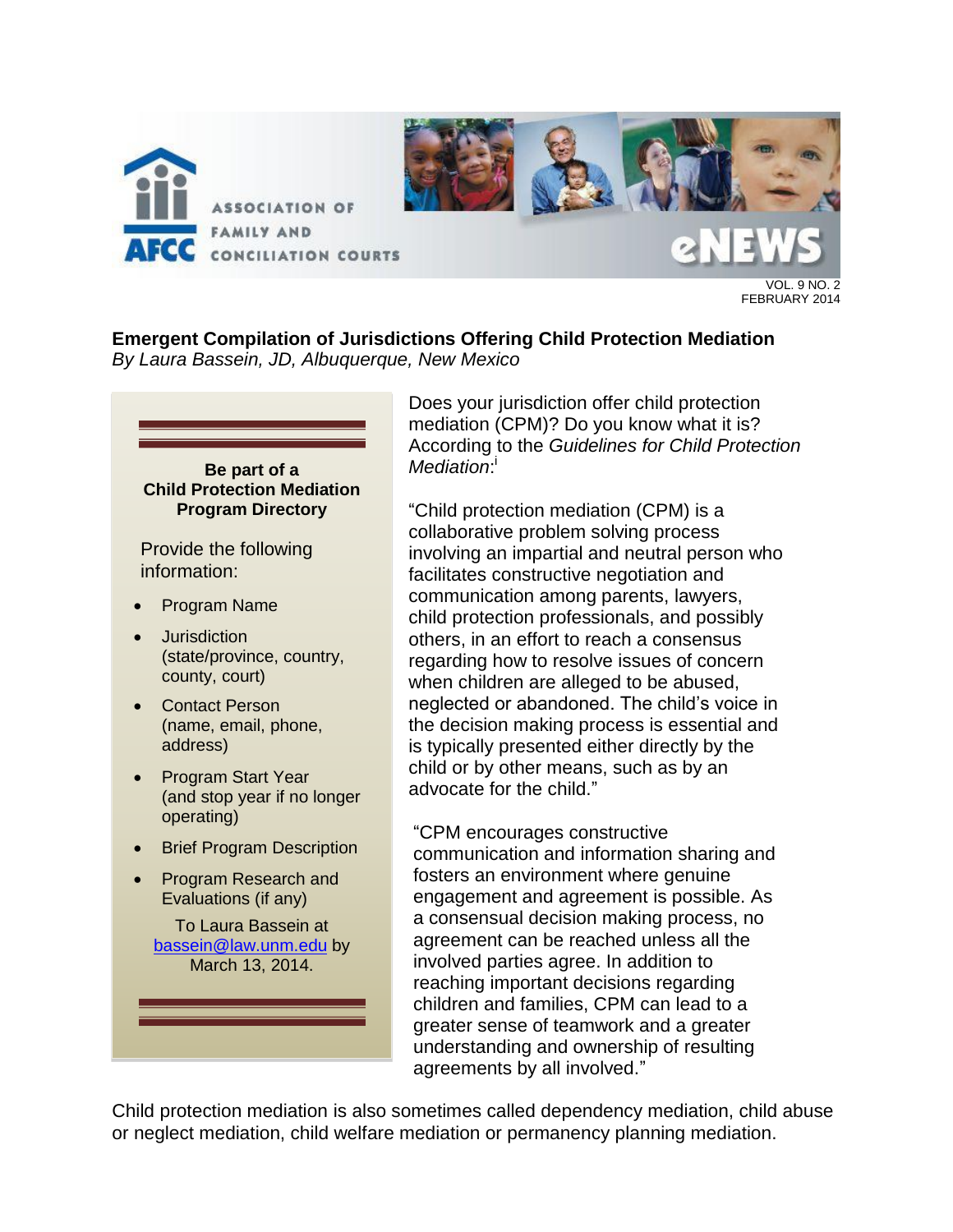

FEBRUARY 2014

**Emergent Compilation of Jurisdictions Offering Child Protection Mediation**  *By Laura Bassein, JD, Albuquerque, New Mexico* 

#### **Be part of a Child Protection Mediation Program Directory**

Provide the following information:

- Program Name
- Jurisdiction (state/province, country, county, court)
- Contact Person (name, email, phone, address)
- Program Start Year (and stop year if no longer operating)
- Brief Program Description
- Program Research and Evaluations (if any)

To Laura Bassein at [bassein@law.unm.edu](mailto:bassein@law.unm.edu) by March 13, 2014.

Does your jurisdiction offer child protection mediation (CPM)? Do you know what it is? According to the *Guidelines for Child Protection*  Mediation:

"Child protection mediation (CPM) is a collaborative problem solving process involving an impartial and neutral person who facilitates constructive negotiation and communication among parents, lawyers, child protection professionals, and possibly others, in an effort to reach a consensus regarding how to resolve issues of concern when children are alleged to be abused, neglected or abandoned. The child's voice in the decision making process is essential and is typically presented either directly by the child or by other means, such as by an advocate for the child."

"CPM encourages constructive communication and information sharing and fosters an environment where genuine engagement and agreement is possible. As a consensual decision making process, no agreement can be reached unless all the involved parties agree. In addition to reaching important decisions regarding children and families, CPM can lead to a greater sense of teamwork and a greater understanding and ownership of resulting agreements by all involved."

Child protection mediation is also sometimes called dependency mediation, child abuse or neglect mediation, child welfare mediation or permanency planning mediation.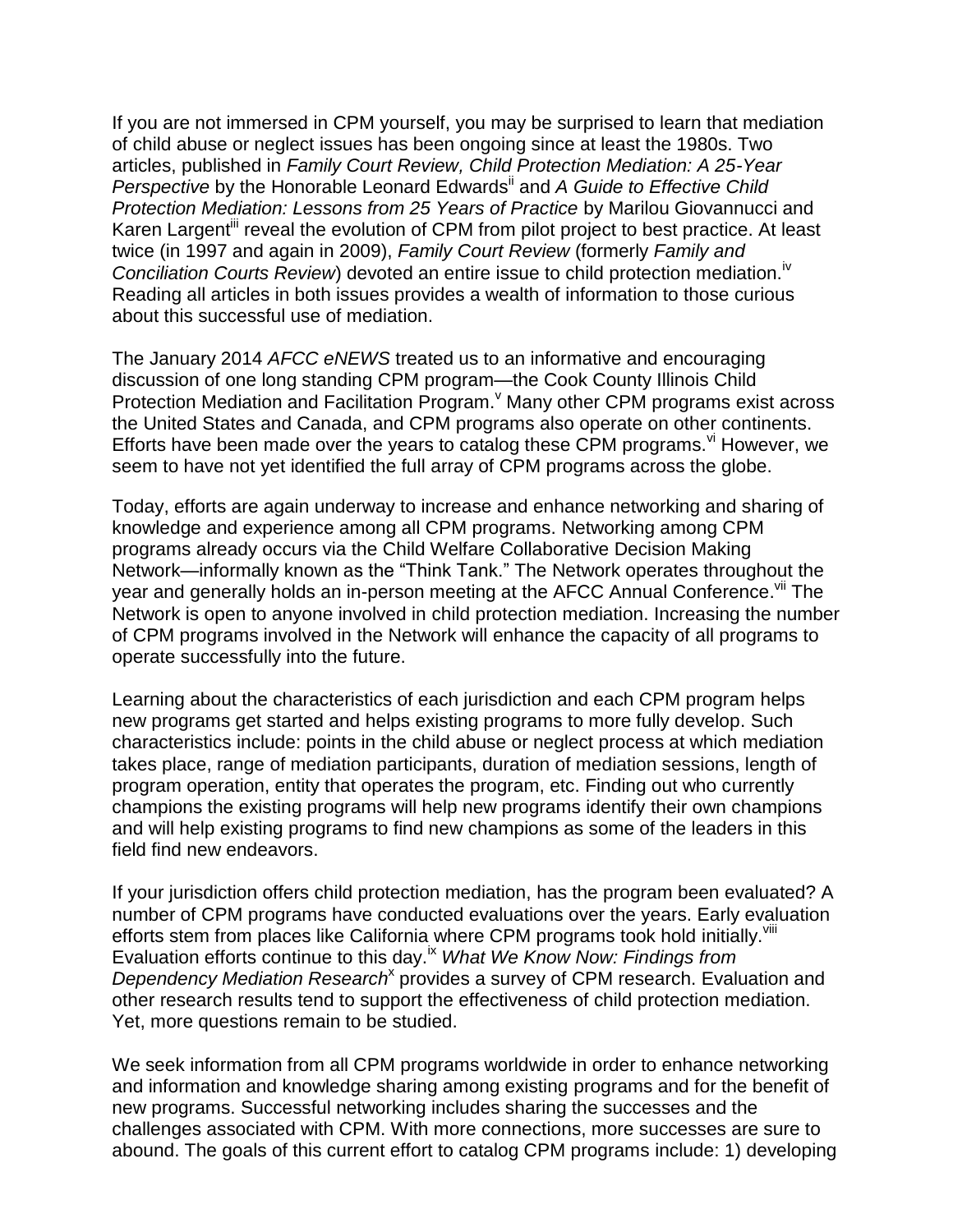If you are not immersed in CPM yourself, you may be surprised to learn that mediation of child abuse or neglect issues has been ongoing since at least the 1980s. Two articles, published in *Family Court Review, Child Protection Mediation: A 25-Year Perspective* by the Honorable Leonard Edwards<sup>ii</sup> and *A Guide to Effective Child Protection Mediation: Lessons from 25 Years of Practice* by Marilou Giovannucci and Karen Largent<sup>iii</sup> reveal the evolution of CPM from pilot project to best practice. At least twice (in 1997 and again in 2009), *Family Court Review* (formerly *Family and Conciliation Courts Review*) devoted an entire issue to child protection mediation.<sup>iv</sup> Reading all articles in both issues provides a wealth of information to those curious about this successful use of mediation.

The January 2014 *AFCC eNEWS* treated us to an informative and encouraging discussion of one long standing CPM program—the Cook County Illinois Child Protection Mediation and Facilitation Program. Kany other CPM programs exist across the United States and Canada, and CPM programs also operate on other continents. Efforts have been made over the years to catalog these CPM programs.  $\frac{v}{v}$  However, we seem to have not yet identified the full array of CPM programs across the globe.

Today, efforts are again underway to increase and enhance networking and sharing of knowledge and experience among all CPM programs. Networking among CPM programs already occurs via the Child Welfare Collaborative Decision Making Network—informally known as the "Think Tank." The Network operates throughout the year and generally holds an in-person meeting at the AFCC Annual Conference.<sup>vii</sup> The Network is open to anyone involved in child protection mediation. Increasing the number of CPM programs involved in the Network will enhance the capacity of all programs to operate successfully into the future.

Learning about the characteristics of each jurisdiction and each CPM program helps new programs get started and helps existing programs to more fully develop. Such characteristics include: points in the child abuse or neglect process at which mediation takes place, range of mediation participants, duration of mediation sessions, length of program operation, entity that operates the program, etc. Finding out who currently champions the existing programs will help new programs identify their own champions and will help existing programs to find new champions as some of the leaders in this field find new endeavors.

If your jurisdiction offers child protection mediation, has the program been evaluated? A number of CPM programs have conducted evaluations over the years. Early evaluation efforts stem from places like California where CPM programs took hold initially.<sup>viii</sup> Evaluation efforts continue to this day.ix *What We Know Now: Findings from*  Dependency Mediation Research<sup>x</sup> provides a survey of CPM research. Evaluation and other research results tend to support the effectiveness of child protection mediation. Yet, more questions remain to be studied.

We seek information from all CPM programs worldwide in order to enhance networking and information and knowledge sharing among existing programs and for the benefit of new programs. Successful networking includes sharing the successes and the challenges associated with CPM. With more connections, more successes are sure to abound. The goals of this current effort to catalog CPM programs include: 1) developing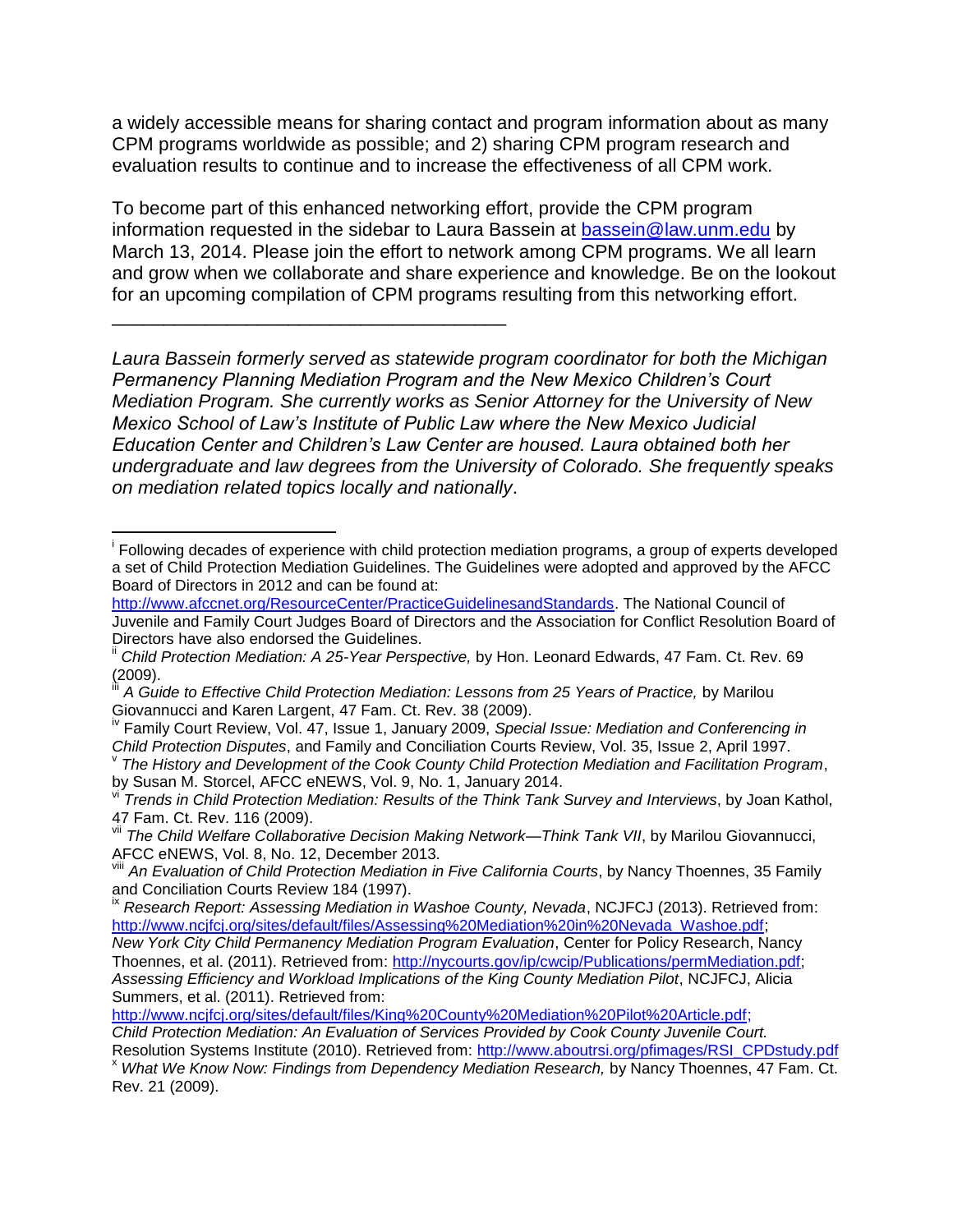a widely accessible means for sharing contact and program information about as many CPM programs worldwide as possible; and 2) sharing CPM program research and evaluation results to continue and to increase the effectiveness of all CPM work.

To become part of this enhanced networking effort, provide the CPM program information requested in the sidebar to Laura Bassein at [bassein@law.unm.edu](mailto:bassein@law.unm.edu) by March 13, 2014. Please join the effort to network among CPM programs. We all learn and grow when we collaborate and share experience and knowledge. Be on the lookout for an upcoming compilation of CPM programs resulting from this networking effort.

\_\_\_\_\_\_\_\_\_\_\_\_\_\_\_\_\_\_\_\_\_\_\_\_\_\_\_\_\_\_\_\_\_\_\_\_\_\_

 $\overline{a}$ 

*Laura Bassein formerly served as statewide program coordinator for both the Michigan Permanency Planning Mediation Program and the New Mexico Children's Court Mediation Program. She currently works as Senior Attorney for the University of New Mexico School of Law's Institute of Public Law where the New Mexico Judicial Education Center and Children's Law Center are housed. Laura obtained both her undergraduate and law degrees from the University of Colorado. She frequently speaks on mediation related topics locally and nationally*.

<sup>&</sup>lt;sup>i</sup> Following decades of experience with child protection mediation programs, a group of experts developed a set of Child Protection Mediation Guidelines. The Guidelines were adopted and approved by the AFCC Board of Directors in 2012 and can be found at:

[http://www.afccnet.org/ResourceCenter/PracticeGuidelinesandStandards.](http://www.afccnet.org/ResourceCenter/PracticeGuidelinesandStandards) The National Council of Juvenile and Family Court Judges Board of Directors and the Association for Conflict Resolution Board of Directors have also endorsed the Guidelines.

Child Protection Mediation: A 25-Year Perspective, by Hon. Leonard Edwards, 47 Fam. Ct. Rev. 69 (2009).

A Guide to Effective Child Protection Mediation: Lessons from 25 Years of Practice, by Marilou Giovannucci and Karen Largent, 47 Fam. Ct. Rev. 38 (2009).

Family Court Review, Vol. 47, Issue 1, January 2009, *Special Issue: Mediation and Conferencing in Child Protection Disputes*, and Family and Conciliation Courts Review, Vol. 35, Issue 2, April 1997.

v *The History and Development of the Cook County Child Protection Mediation and Facilitation Program*, by Susan M. Storcel, AFCC eNEWS, Vol. 9, No. 1, January 2014.

vi *Trends in Child Protection Mediation: Results of the Think Tank Survey and Interviews*, by Joan Kathol, 47 Fam. Ct. Rev. 116 (2009).

vii *The Child Welfare Collaborative Decision Making Network—Think Tank VII*, by Marilou Giovannucci, AFCC eNEWS, Vol. 8, No. 12, December 2013.

An Evaluation of Child Protection Mediation in Five California Courts, by Nancy Thoennes, 35 Family and Conciliation Courts Review 184 (1997).

<sup>&</sup>lt;sup>ix</sup> *Research Report: Assessing Mediation in Washoe County, Nevada, NCJFCJ (2013). Retrieved from:* [http://www.ncjfcj.org/sites/default/files/Assessing%20Mediation%20in%20Nevada\\_Washoe.pdf;](http://www.ncjfcj.org/sites/default/files/Assessing%20Mediation%20in%20Nevada_Washoe.pdf)

*New York City Child Permanency Mediation Program Evaluation*, Center for Policy Research, Nancy Thoennes, et al. (2011). Retrieved from: [http://nycourts.gov/ip/cwcip/Publications/permMediation.pdf;](http://nycourts.gov/ip/cwcip/Publications/permMediation.pdf) *Assessing Efficiency and Workload Implications of the King County Mediation Pilot*, NCJFCJ, Alicia Summers, et al. (2011). Retrieved from:

[http://www.ncjfcj.org/sites/default/files/King%20County%20Mediation%20Pilot%20Article.pdf;](http://www.ncjfcj.org/sites/default/files/King%20County%20Mediation%20Pilot%20Article.pdf) *Child Protection Mediation: An Evaluation of Services Provided by Cook County Juvenile Court.* 

Resolution Systems Institute (2010). Retrieved from: [http://www.aboutrsi.org/pfimages/RSI\\_CPDstudy.pdf](http://www.aboutrsi.org/pfimages/RSI_CPDstudy.pdf) <sup>x</sup> *What We Know Now: Findings from Dependency Mediation Research,* by Nancy Thoennes, 47 Fam. Ct. Rev. 21 (2009).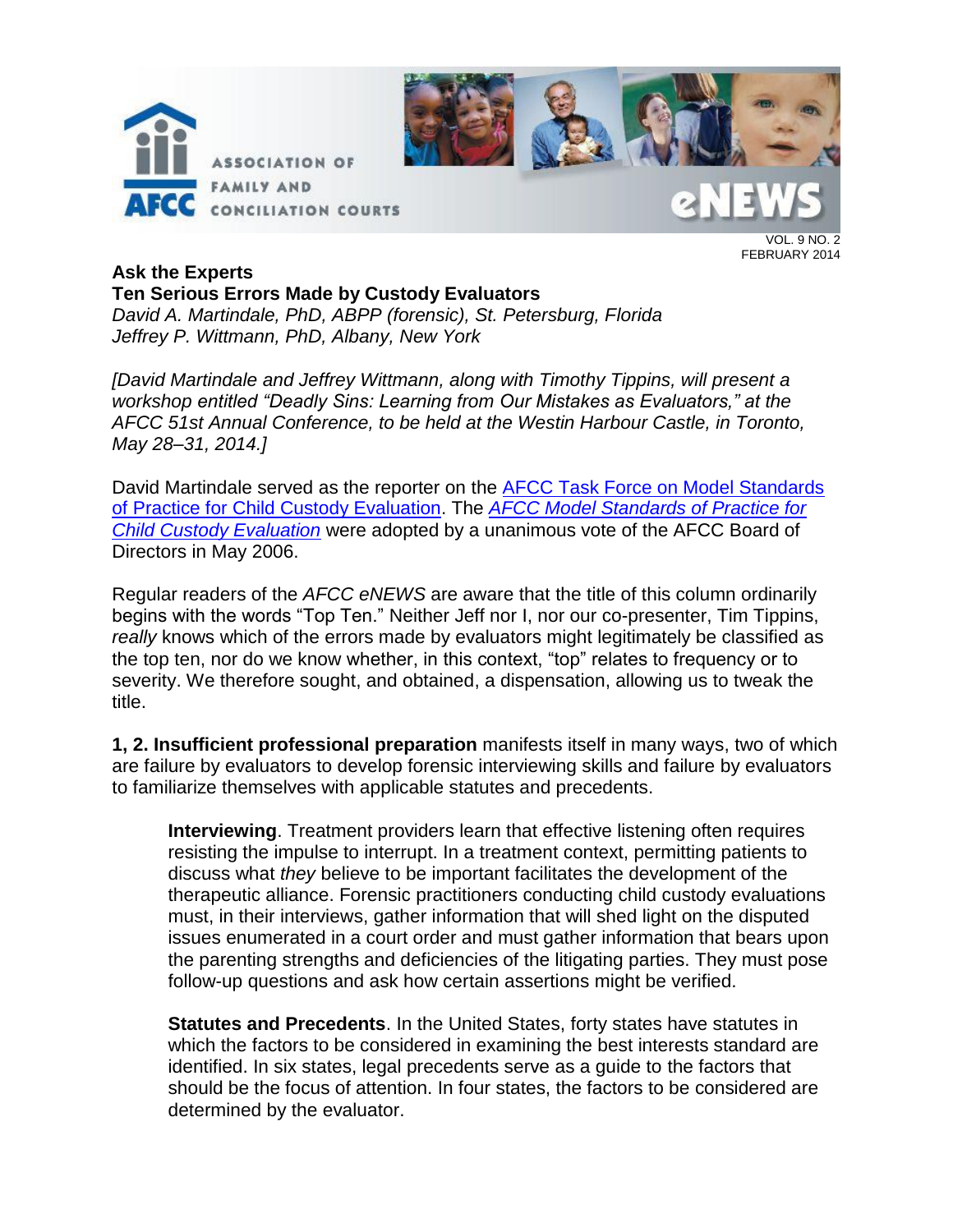



VOL. 9 NO. 2 FEBRUARY 2014

## **Ask the Experts**

## **Ten Serious Errors Made by Custody Evaluators**

*David A. Martindale, PhD, ABPP (forensic), St. Petersburg, Florida Jeffrey P. Wittmann, PhD, Albany, New York*

*[David Martindale and Jeffrey Wittmann, along with Timothy Tippins, will present a workshop entitled "Deadly Sins: Learning from Our Mistakes as Evaluators," at the AFCC 51st Annual Conference, to be held at the Westin Harbour Castle, in Toronto, May 28–31, 2014.]*

David Martindale served as the reporter on the [AFCC Task Force on Model Standards](http://www.afccnet.org/ResourceCenter/CenterforExcellenceinFamilyCourtPractice/ctl/ViewCommittee/CommitteeID/22/mid/495)  [of Practice for Child Custody Evaluation.](http://www.afccnet.org/ResourceCenter/CenterforExcellenceinFamilyCourtPractice/ctl/ViewCommittee/CommitteeID/22/mid/495) The *[AFCC Model Standards of Practice for](http://www.afccnet.org/ResourceCenter/CenterforExcellenceinFamilyCourtPractice/ctl/ViewCommittee/CommitteeID/22/mid/495)  [Child Custody Evaluation](http://www.afccnet.org/ResourceCenter/CenterforExcellenceinFamilyCourtPractice/ctl/ViewCommittee/CommitteeID/22/mid/495)* were adopted by a unanimous vote of the AFCC Board of Directors in May 2006.

Regular readers of the *AFCC eNEWS* are aware that the title of this column ordinarily begins with the words "Top Ten." Neither Jeff nor I, nor our co-presenter, Tim Tippins, *really* knows which of the errors made by evaluators might legitimately be classified as the top ten, nor do we know whether, in this context, "top" relates to frequency or to severity. We therefore sought, and obtained, a dispensation, allowing us to tweak the title.

**1, 2. Insufficient professional preparation** manifests itself in many ways, two of which are failure by evaluators to develop forensic interviewing skills and failure by evaluators to familiarize themselves with applicable statutes and precedents.

**Interviewing**. Treatment providers learn that effective listening often requires resisting the impulse to interrupt. In a treatment context, permitting patients to discuss what *they* believe to be important facilitates the development of the therapeutic alliance. Forensic practitioners conducting child custody evaluations must, in their interviews, gather information that will shed light on the disputed issues enumerated in a court order and must gather information that bears upon the parenting strengths and deficiencies of the litigating parties. They must pose follow-up questions and ask how certain assertions might be verified.

**Statutes and Precedents**. In the United States, forty states have statutes in which the factors to be considered in examining the best interests standard are identified. In six states, legal precedents serve as a guide to the factors that should be the focus of attention. In four states, the factors to be considered are determined by the evaluator.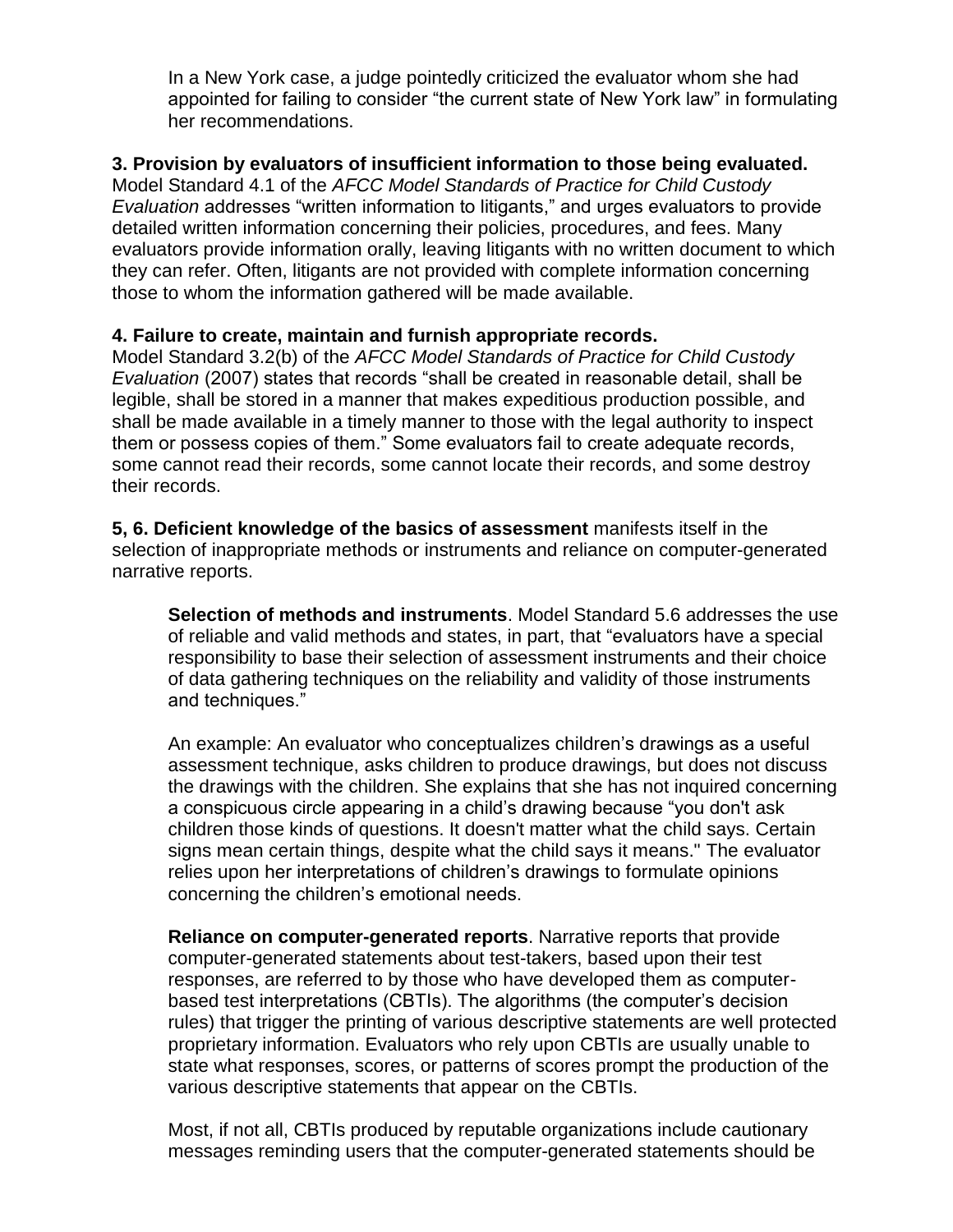In a New York case, a judge pointedly criticized the evaluator whom she had appointed for failing to consider "the current state of New York law" in formulating her recommendations.

## **3. Provision by evaluators of insufficient information to those being evaluated.**

Model Standard 4.1 of the *AFCC Model Standards of Practice for Child Custody Evaluation* addresses "written information to litigants," and urges evaluators to provide detailed written information concerning their policies, procedures, and fees. Many evaluators provide information orally, leaving litigants with no written document to which they can refer. Often, litigants are not provided with complete information concerning those to whom the information gathered will be made available.

## **4. Failure to create, maintain and furnish appropriate records.**

Model Standard 3.2(b) of the *AFCC Model Standards of Practice for Child Custody Evaluation* (2007) states that records "shall be created in reasonable detail, shall be legible, shall be stored in a manner that makes expeditious production possible, and shall be made available in a timely manner to those with the legal authority to inspect them or possess copies of them." Some evaluators fail to create adequate records, some cannot read their records, some cannot locate their records, and some destroy their records.

**5, 6. Deficient knowledge of the basics of assessment** manifests itself in the selection of inappropriate methods or instruments and reliance on computer-generated narrative reports.

**Selection of methods and instruments**. Model Standard 5.6 addresses the use of reliable and valid methods and states, in part, that "evaluators have a special responsibility to base their selection of assessment instruments and their choice of data gathering techniques on the reliability and validity of those instruments and techniques."

An example: An evaluator who conceptualizes children's drawings as a useful assessment technique, asks children to produce drawings, but does not discuss the drawings with the children. She explains that she has not inquired concerning a conspicuous circle appearing in a child's drawing because "you don't ask children those kinds of questions. It doesn't matter what the child says. Certain signs mean certain things, despite what the child says it means." The evaluator relies upon her interpretations of children's drawings to formulate opinions concerning the children's emotional needs.

**Reliance on computer-generated reports**. Narrative reports that provide computer-generated statements about test-takers, based upon their test responses, are referred to by those who have developed them as computerbased test interpretations (CBTIs). The algorithms (the computer's decision rules) that trigger the printing of various descriptive statements are well protected proprietary information. Evaluators who rely upon CBTIs are usually unable to state what responses, scores, or patterns of scores prompt the production of the various descriptive statements that appear on the CBTIs.

Most, if not all, CBTIs produced by reputable organizations include cautionary messages reminding users that the computer-generated statements should be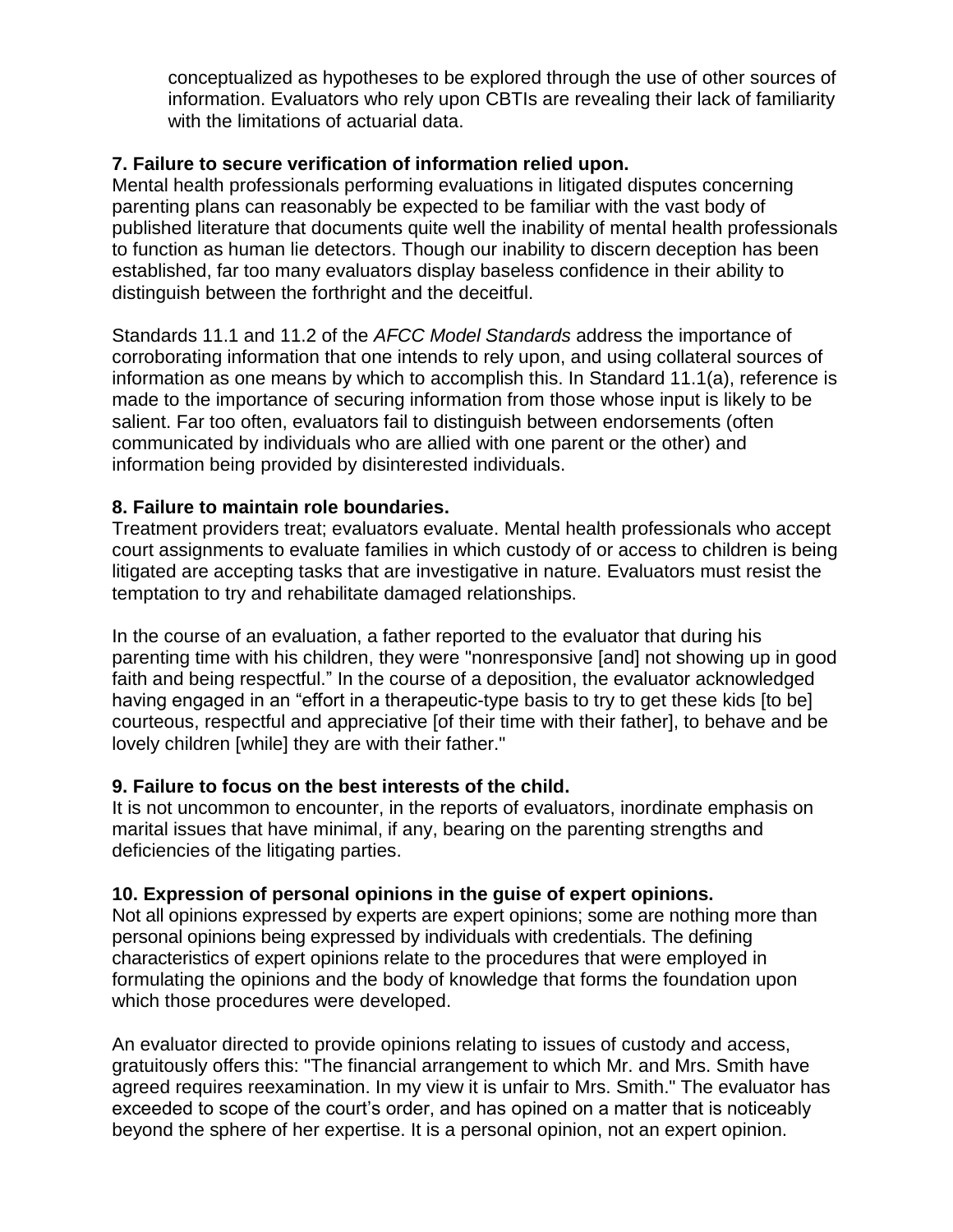conceptualized as hypotheses to be explored through the use of other sources of information. Evaluators who rely upon CBTIs are revealing their lack of familiarity with the limitations of actuarial data.

## **7. Failure to secure verification of information relied upon.**

Mental health professionals performing evaluations in litigated disputes concerning parenting plans can reasonably be expected to be familiar with the vast body of published literature that documents quite well the inability of mental health professionals to function as human lie detectors. Though our inability to discern deception has been established, far too many evaluators display baseless confidence in their ability to distinguish between the forthright and the deceitful.

Standards 11.1 and 11.2 of the *AFCC Model Standards* address the importance of corroborating information that one intends to rely upon, and using collateral sources of information as one means by which to accomplish this. In Standard 11.1(a), reference is made to the importance of securing information from those whose input is likely to be salient. Far too often, evaluators fail to distinguish between endorsements (often communicated by individuals who are allied with one parent or the other) and information being provided by disinterested individuals.

## **8. Failure to maintain role boundaries.**

Treatment providers treat; evaluators evaluate. Mental health professionals who accept court assignments to evaluate families in which custody of or access to children is being litigated are accepting tasks that are investigative in nature. Evaluators must resist the temptation to try and rehabilitate damaged relationships.

In the course of an evaluation, a father reported to the evaluator that during his parenting time with his children, they were "nonresponsive [and] not showing up in good faith and being respectful." In the course of a deposition, the evaluator acknowledged having engaged in an "effort in a therapeutic-type basis to try to get these kids [to be] courteous, respectful and appreciative [of their time with their father], to behave and be lovely children [while] they are with their father."

## **9. Failure to focus on the best interests of the child.**

It is not uncommon to encounter, in the reports of evaluators, inordinate emphasis on marital issues that have minimal, if any, bearing on the parenting strengths and deficiencies of the litigating parties.

## **10. Expression of personal opinions in the guise of expert opinions.**

Not all opinions expressed by experts are expert opinions; some are nothing more than personal opinions being expressed by individuals with credentials. The defining characteristics of expert opinions relate to the procedures that were employed in formulating the opinions and the body of knowledge that forms the foundation upon which those procedures were developed.

An evaluator directed to provide opinions relating to issues of custody and access, gratuitously offers this: "The financial arrangement to which Mr. and Mrs. Smith have agreed requires reexamination. In my view it is unfair to Mrs. Smith." The evaluator has exceeded to scope of the court's order, and has opined on a matter that is noticeably beyond the sphere of her expertise. It is a personal opinion, not an expert opinion.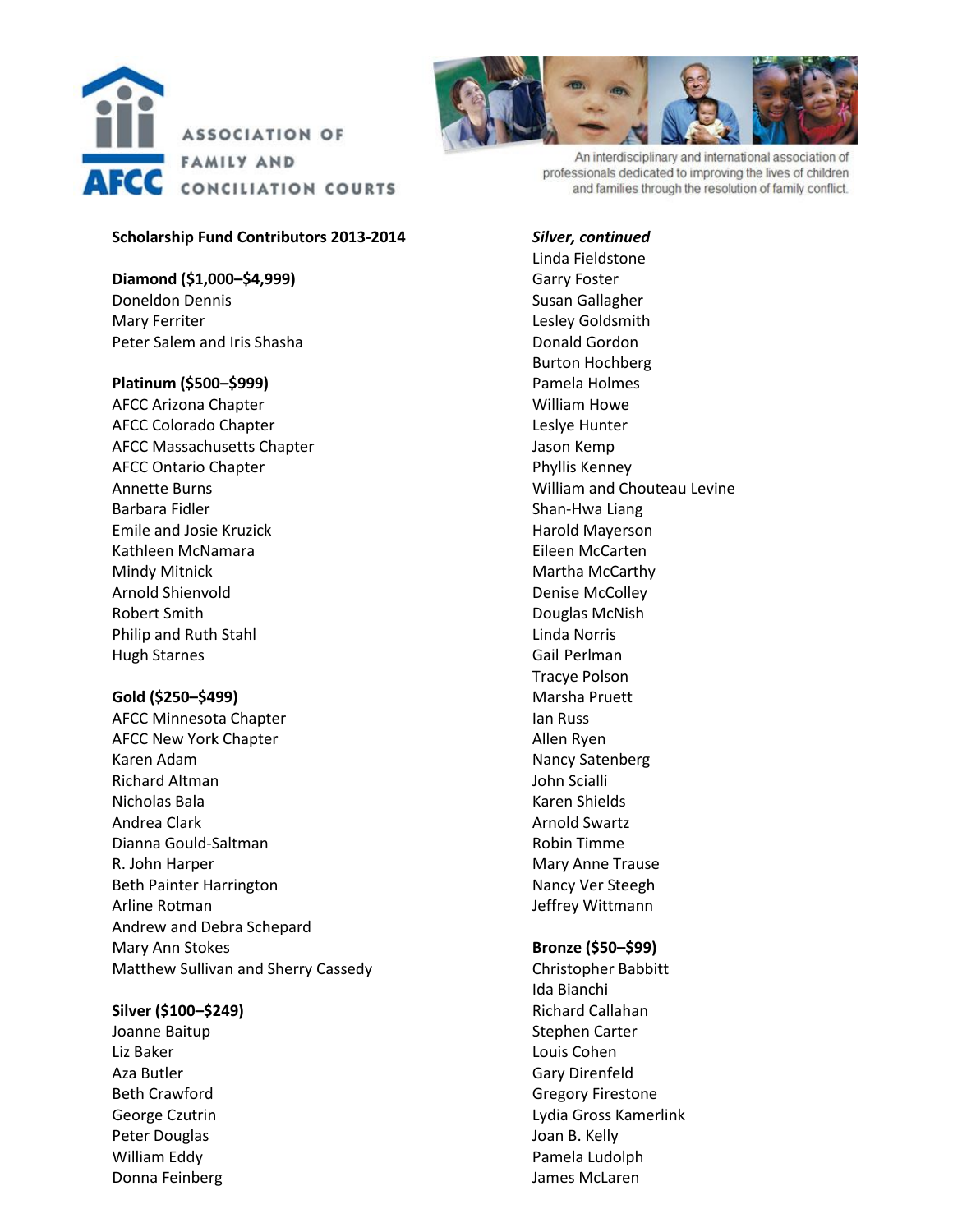

#### **Scholarship Fund Contributors 2013-2014**

**Diamond (\$1,000–\$4,999)** Doneldon Dennis Mary Ferriter Peter Salem and Iris Shasha

#### **Platinum (\$500–\$999)**

AFCC Arizona Chapter AFCC Colorado Chapter AFCC Massachusetts Chapter AFCC Ontario Chapter Annette Burns Barbara Fidler Emile and Josie Kruzick Kathleen McNamara Mindy Mitnick Arnold Shienvold Robert Smith Philip and Ruth Stahl Hugh Starnes

#### **Gold (\$250–\$499)**

AFCC Minnesota Chapter AFCC New York Chapter Karen Adam Richard Altman Nicholas Bala Andrea Clark Dianna Gould-Saltman R. John Harper Beth Painter Harrington Arline Rotman Andrew and Debra Schepard Mary Ann Stokes Matthew Sullivan and Sherry Cassedy

#### **Silver (\$100–\$249)**

Joanne Baitup Liz Baker Aza Butler Beth Crawford George Czutrin Peter Douglas William Eddy Donna Feinberg



An interdisciplinary and international association of professionals dedicated to improving the lives of children and families through the resolution of family conflict.

#### *Silver, continued*

Linda Fieldstone Garry Foster Susan Gallagher Lesley Goldsmith Donald Gordon Burton Hochberg Pamela Holmes William Howe Leslye Hunter Jason Kemp Phyllis Kenney William and Chouteau Levine Shan-Hwa Liang Harold Mayerson Eileen McCarten Martha McCarthy Denise McColley Douglas McNish Linda Norris Gail Perlman Tracye Polson Marsha Pruett Ian Russ Allen Ryen Nancy Satenberg John Scialli Karen Shields Arnold Swartz Robin Timme Mary Anne Trause Nancy Ver Steegh Jeffrey Wittmann

#### **Bronze (\$50–\$99)**

Christopher Babbitt Ida Bianchi Richard Callahan Stephen Carter Louis Cohen Gary Direnfeld Gregory Firestone Lydia Gross Kamerlink Joan B. Kelly Pamela Ludolph James McLaren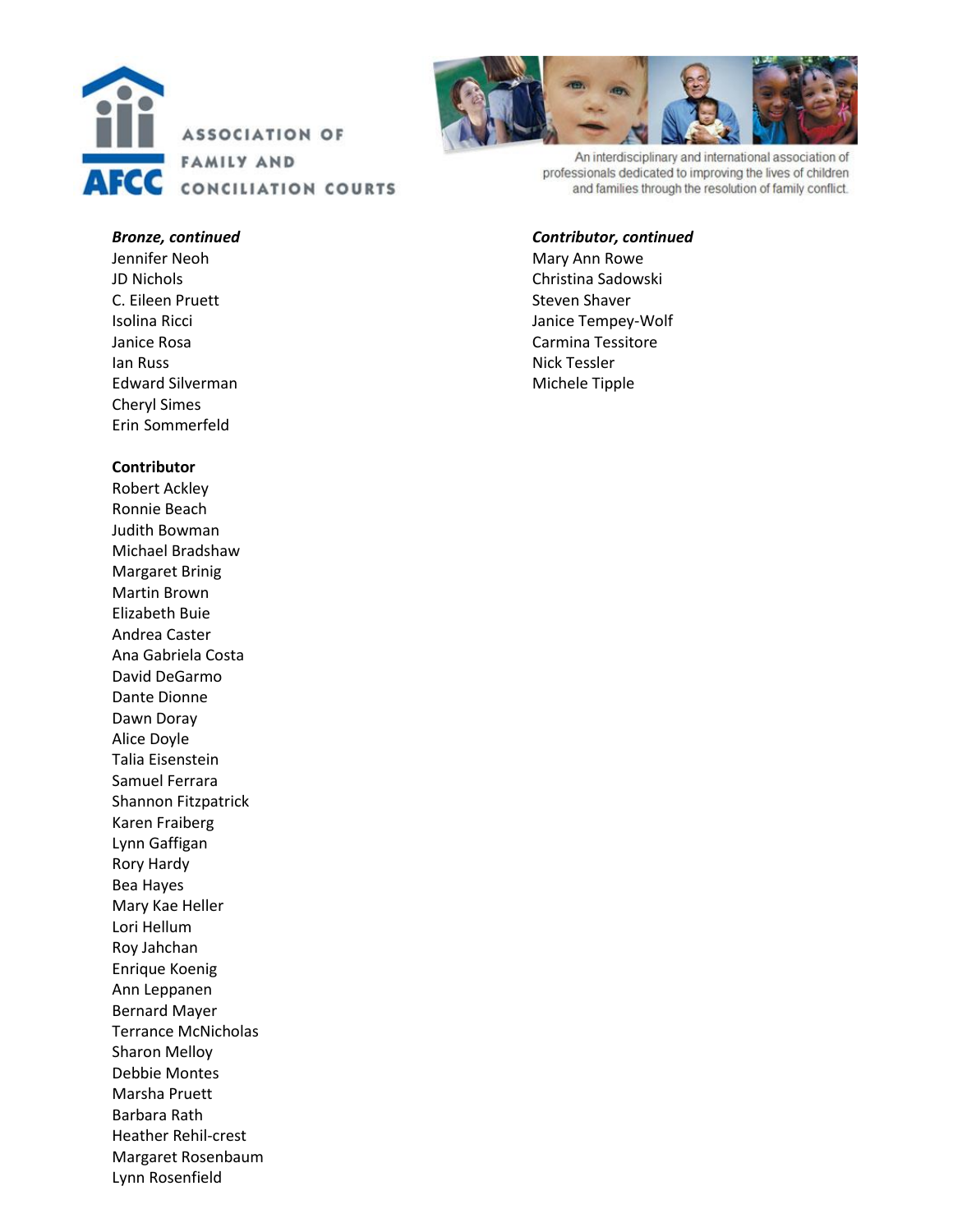



An interdisciplinary and international association of professionals dedicated to improving the lives of children and families through the resolution of family conflict.

#### *Bronze, continued*

Jennifer Neoh JD Nichols C. Eileen Pruett Isolina Ricci Janice Rosa Ian Russ Edward Silverman Cheryl Simes Erin Sommerfeld

#### **Contributor**

Robert Ackley Ronnie Beach Judith Bowman Michael Bradshaw Margaret Brinig Martin Brown Elizabeth Buie Andrea Caster Ana Gabriela Costa David DeGarmo Dante Dionne Dawn Doray Alice Doyle Talia Eisenstein Samuel Ferrara Shannon Fitzpatrick Karen Fraiberg Lynn Gaffigan Rory Hardy Bea Hayes Mary Kae Heller Lori Hellum Roy Jahchan Enrique Koenig Ann Leppanen Bernard Mayer Terrance McNicholas Sharon Melloy Debbie Montes Marsha Pruett Barbara Rath Heather Rehil -crest Margaret Rosenbaum Lynn Rosenfield

#### *Contributor, continued*

Mary Ann Rowe Christina Sadowski Steven Shaver Janice Tempey -Wolf Carmina Tessitore Nick Tessler Michele Tipple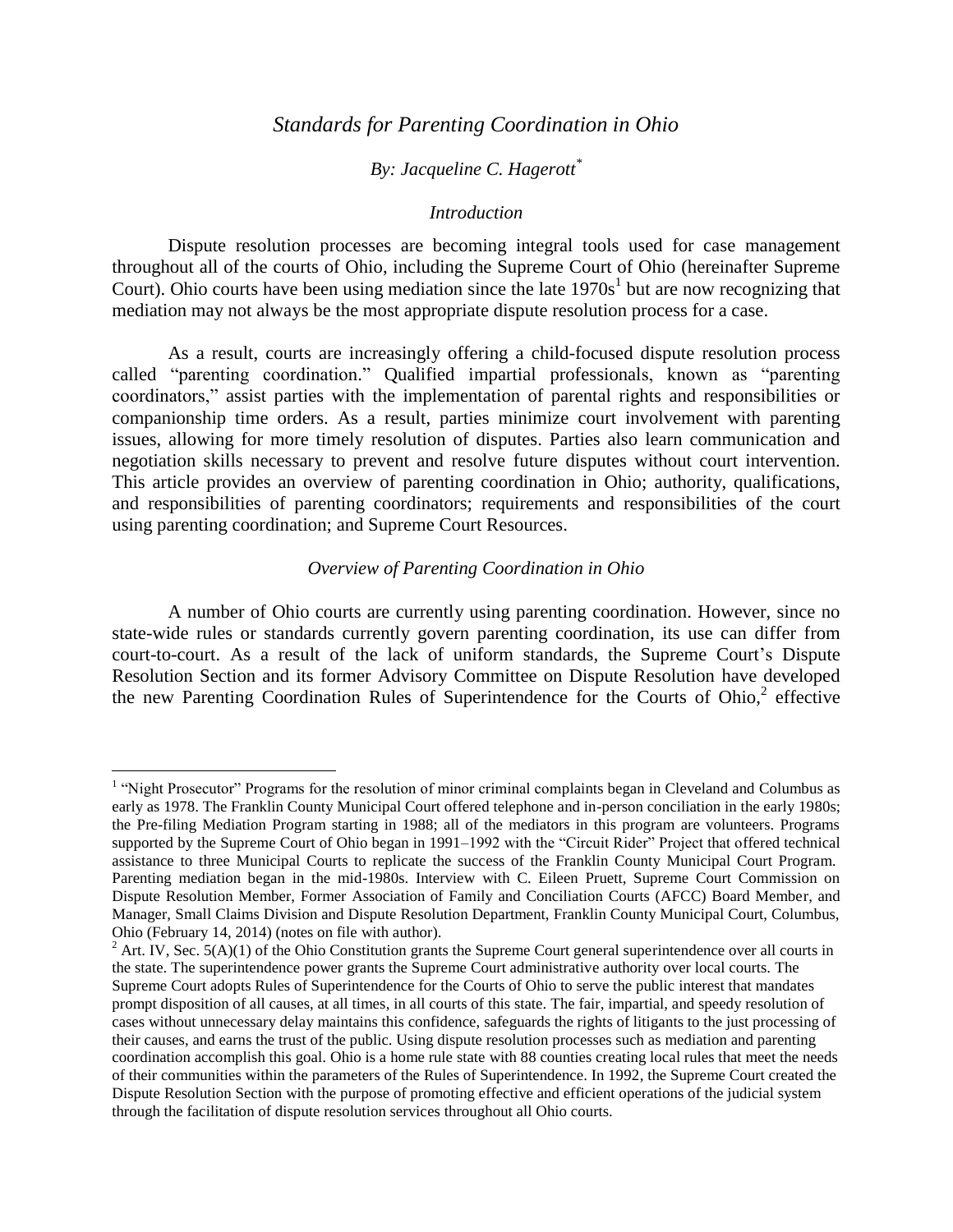## *Standards for Parenting Coordination in Ohio*

# *By: Jacqueline C. Hagerott\**

#### *Introduction*

Dispute resolution processes are becoming integral tools used for case management throughout all of the courts of Ohio, including the Supreme Court of Ohio (hereinafter Supreme Court). Ohio courts have been using mediation since the late  $1970s<sup>1</sup>$  but are now recognizing that mediation may not always be the most appropriate dispute resolution process for a case.

As a result, courts are increasingly offering a child-focused dispute resolution process called "parenting coordination." Qualified impartial professionals, known as "parenting coordinators," assist parties with the implementation of parental rights and responsibilities or companionship time orders. As a result, parties minimize court involvement with parenting issues, allowing for more timely resolution of disputes. Parties also learn communication and negotiation skills necessary to prevent and resolve future disputes without court intervention. This article provides an overview of parenting coordination in Ohio; authority, qualifications, and responsibilities of parenting coordinators; requirements and responsibilities of the court using parenting coordination; and Supreme Court Resources.

#### *Overview of Parenting Coordination in Ohio*

A number of Ohio courts are currently using parenting coordination. However, since no state-wide rules or standards currently govern parenting coordination, its use can differ from court-to-court. As a result of the lack of uniform standards, the Supreme Court's Dispute Resolution Section and its former Advisory Committee on Dispute Resolution have developed the new Parenting Coordination Rules of Superintendence for the Courts of Ohio, 2 effective

<sup>&</sup>lt;sup>1</sup> "Night Prosecutor" Programs for the resolution of minor criminal complaints began in Cleveland and Columbus as early as 1978. The Franklin County Municipal Court offered telephone and in-person conciliation in the early 1980s; the Pre-filing Mediation Program starting in 1988; all of the mediators in this program are volunteers. Programs supported by the Supreme Court of Ohio began in 1991–1992 with the "Circuit Rider" Project that offered technical assistance to three Municipal Courts to replicate the success of the Franklin County Municipal Court Program. Parenting mediation began in the mid-1980s. Interview with C. Eileen Pruett, Supreme Court Commission on Dispute Resolution Member, Former Association of Family and Conciliation Courts (AFCC) Board Member, and Manager, Small Claims Division and Dispute Resolution Department, Franklin County Municipal Court, Columbus, Ohio (February 14, 2014) (notes on file with author).

 $2$  Art. IV, Sec.  $5(A)(1)$  of the Ohio Constitution grants the Supreme Court general superintendence over all courts in the state. The superintendence power grants the Supreme Court administrative authority over local courts. The Supreme Court adopts Rules of Superintendence for the Courts of Ohio to serve the public interest that mandates prompt disposition of all causes, at all times, in all courts of this state. The fair, impartial, and speedy resolution of cases without unnecessary delay maintains this confidence, safeguards the rights of litigants to the just processing of their causes, and earns the trust of the public. Using dispute resolution processes such as mediation and parenting coordination accomplish this goal. Ohio is a home rule state with 88 counties creating local rules that meet the needs of their communities within the parameters of the Rules of Superintendence. In 1992, the Supreme Court created the Dispute Resolution Section with the purpose of promoting effective and efficient operations of the judicial system through the facilitation of dispute resolution services throughout all Ohio courts.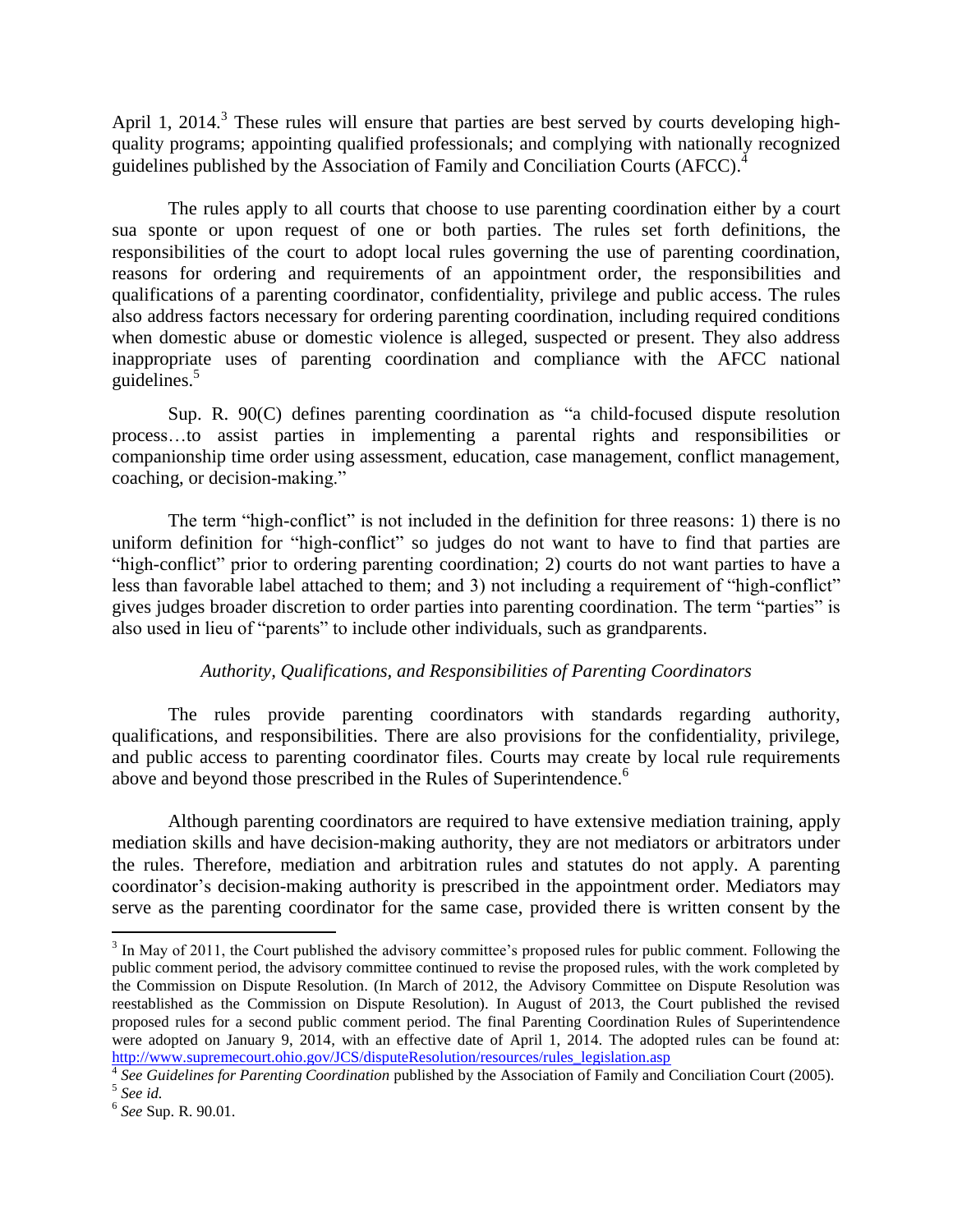April 1, 2014.<sup>3</sup> These rules will ensure that parties are best served by courts developing highquality programs; appointing qualified professionals; and complying with nationally recognized guidelines published by the Association of Family and Conciliation Courts (AFCC). 4

The rules apply to all courts that choose to use parenting coordination either by a court sua sponte or upon request of one or both parties. The rules set forth definitions, the responsibilities of the court to adopt local rules governing the use of parenting coordination, reasons for ordering and requirements of an appointment order, the responsibilities and qualifications of a parenting coordinator, confidentiality, privilege and public access. The rules also address factors necessary for ordering parenting coordination, including required conditions when domestic abuse or domestic violence is alleged, suspected or present. They also address inappropriate uses of parenting coordination and compliance with the AFCC national guidelines. 5

Sup. R. 90(C) defines parenting coordination as "a child-focused dispute resolution process…to assist parties in implementing a parental rights and responsibilities or companionship time order using assessment, education, case management, conflict management, coaching, or decision-making."

The term "high-conflict" is not included in the definition for three reasons: 1) there is no uniform definition for "high-conflict" so judges do not want to have to find that parties are "high-conflict" prior to ordering parenting coordination; 2) courts do not want parties to have a less than favorable label attached to them; and 3) not including a requirement of "high-conflict" gives judges broader discretion to order parties into parenting coordination. The term "parties" is also used in lieu of "parents" to include other individuals, such as grandparents.

## *Authority, Qualifications, and Responsibilities of Parenting Coordinators*

The rules provide parenting coordinators with standards regarding authority, qualifications, and responsibilities. There are also provisions for the confidentiality, privilege, and public access to parenting coordinator files. Courts may create by local rule requirements above and beyond those prescribed in the Rules of Superintendence.<sup>6</sup>

Although parenting coordinators are required to have extensive mediation training, apply mediation skills and have decision-making authority, they are not mediators or arbitrators under the rules. Therefore, mediation and arbitration rules and statutes do not apply. A parenting coordinator's decision-making authority is prescribed in the appointment order. Mediators may serve as the parenting coordinator for the same case, provided there is written consent by the

 $3$  In May of 2011, the Court published the advisory committee's proposed rules for public comment. Following the public comment period, the advisory committee continued to revise the proposed rules, with the work completed by the Commission on Dispute Resolution. (In March of 2012, the Advisory Committee on Dispute Resolution was reestablished as the Commission on Dispute Resolution). In August of 2013, the Court published the revised proposed rules for a second public comment period. The final Parenting Coordination Rules of Superintendence were adopted on January 9, 2014, with an effective date of April 1, 2014. The adopted rules can be found at: [http://www.supremecourt.ohio.gov/JCS/disputeResolution/resources/rules\\_legislation.asp](http://www.supremecourt.ohio.gov/JCS/disputeResolution/resources/rules_legislation.asp)

<sup>4</sup> *See Guidelines for Parenting Coordination* published by the Association of Family and Conciliation Court (2005). 5 *See id.*

<sup>6</sup> *See* Sup. R. 90.01.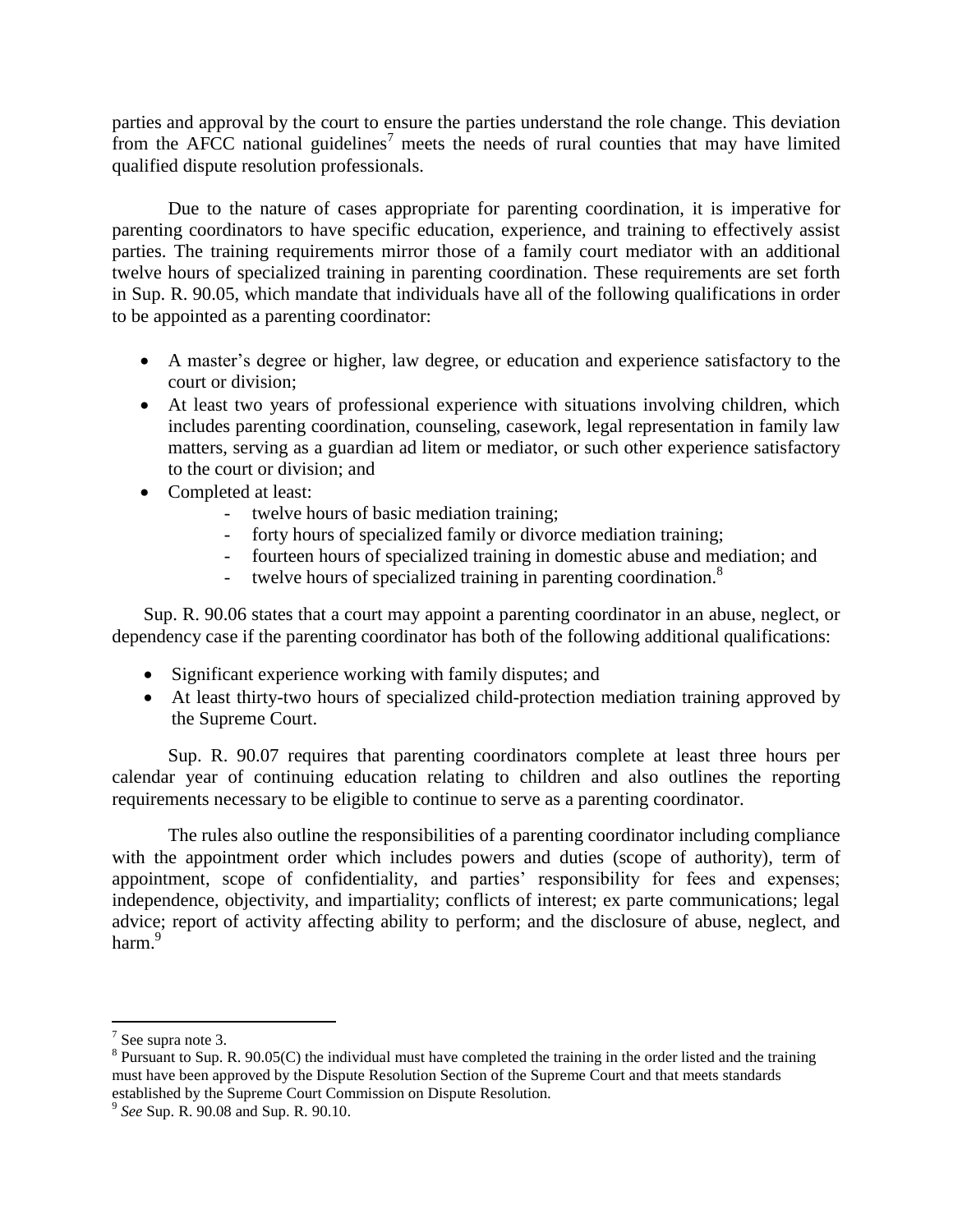parties and approval by the court to ensure the parties understand the role change. This deviation from the AFCC national guidelines<sup>7</sup> meets the needs of rural counties that may have limited qualified dispute resolution professionals.

Due to the nature of cases appropriate for parenting coordination, it is imperative for parenting coordinators to have specific education, experience, and training to effectively assist parties. The training requirements mirror those of a family court mediator with an additional twelve hours of specialized training in parenting coordination. These requirements are set forth in Sup. R. 90.05, which mandate that individuals have all of the following qualifications in order to be appointed as a parenting coordinator:

- A master's degree or higher, law degree, or education and experience satisfactory to the court or division;
- At least two years of professional experience with situations involving children, which includes parenting coordination, counseling, casework, legal representation in family law matters, serving as a guardian ad litem or mediator, or such other experience satisfactory to the court or division; and
- Completed at least:
	- twelve hours of basic mediation training;
	- forty hours of specialized family or divorce mediation training;
	- fourteen hours of specialized training in domestic abuse and mediation; and
	- twelve hours of specialized training in parenting coordination.<sup>8</sup>

Sup. R. 90.06 states that a court may appoint a parenting coordinator in an abuse, neglect, or dependency case if the parenting coordinator has both of the following additional qualifications:

- Significant experience working with family disputes; and
- At least thirty-two hours of specialized child-protection mediation training approved by the Supreme Court.

Sup. R. 90.07 requires that parenting coordinators complete at least three hours per calendar year of continuing education relating to children and also outlines the reporting requirements necessary to be eligible to continue to serve as a parenting coordinator.

The rules also outline the responsibilities of a parenting coordinator including compliance with the appointment order which includes powers and duties (scope of authority), term of appointment, scope of confidentiality, and parties' responsibility for fees and expenses; independence, objectivity, and impartiality; conflicts of interest; ex parte communications; legal advice; report of activity affecting ability to perform; and the disclosure of abuse, neglect, and harm.<sup>9</sup>

<sup>&</sup>lt;sup>7</sup> See supra note 3.

 $8$  Pursuant to Sup. R. 90.05(C) the individual must have completed the training in the order listed and the training must have been approved by the Dispute Resolution Section of the Supreme Court and that meets standards established by the Supreme Court Commission on Dispute Resolution.

<sup>9</sup> *See* Sup. R. 90.08 and Sup. R. 90.10.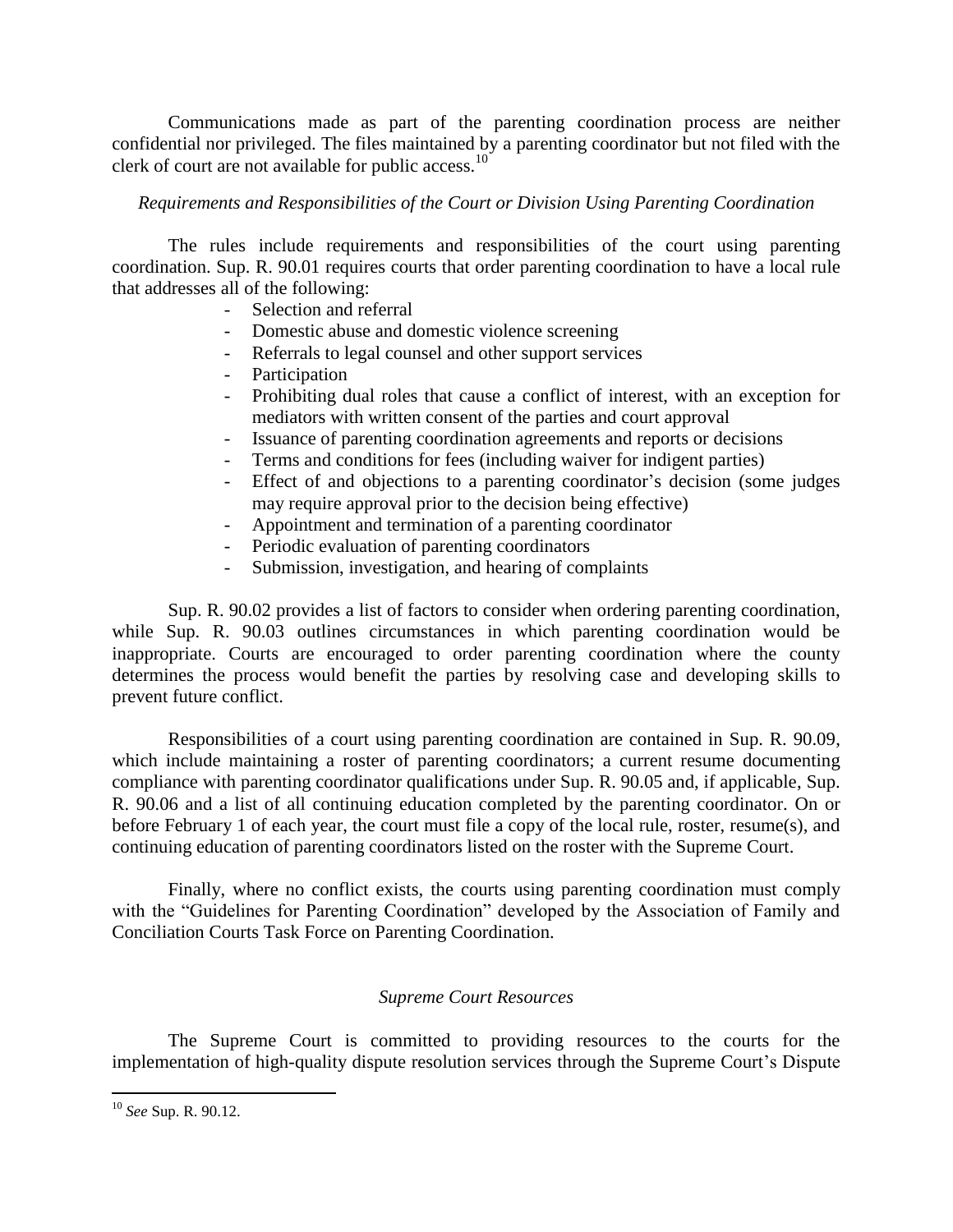Communications made as part of the parenting coordination process are neither confidential nor privileged. The files maintained by a parenting coordinator but not filed with the clerk of court are not available for public access. $10$ 

## *Requirements and Responsibilities of the Court or Division Using Parenting Coordination*

The rules include requirements and responsibilities of the court using parenting coordination. Sup. R. 90.01 requires courts that order parenting coordination to have a local rule that addresses all of the following:

- Selection and referral
- Domestic abuse and domestic violence screening
- Referrals to legal counsel and other support services
- Participation
- Prohibiting dual roles that cause a conflict of interest, with an exception for mediators with written consent of the parties and court approval
- Issuance of parenting coordination agreements and reports or decisions
- Terms and conditions for fees (including waiver for indigent parties)
- Effect of and objections to a parenting coordinator's decision (some judges may require approval prior to the decision being effective)
- Appointment and termination of a parenting coordinator
- Periodic evaluation of parenting coordinators
- Submission, investigation, and hearing of complaints

Sup. R. 90.02 provides a list of factors to consider when ordering parenting coordination, while Sup. R. 90.03 outlines circumstances in which parenting coordination would be inappropriate. Courts are encouraged to order parenting coordination where the county determines the process would benefit the parties by resolving case and developing skills to prevent future conflict.

Responsibilities of a court using parenting coordination are contained in Sup. R. 90.09, which include maintaining a roster of parenting coordinators; a current resume documenting compliance with parenting coordinator qualifications under Sup. R. 90.05 and, if applicable, Sup. R. 90.06 and a list of all continuing education completed by the parenting coordinator. On or before February 1 of each year, the court must file a copy of the local rule, roster, resume(s), and continuing education of parenting coordinators listed on the roster with the Supreme Court.

Finally, where no conflict exists, the courts using parenting coordination must comply with the "Guidelines for Parenting Coordination" developed by the Association of Family and Conciliation Courts Task Force on Parenting Coordination.

## *Supreme Court Resources*

The Supreme Court is committed to providing resources to the courts for the implementation of high-quality dispute resolution services through the Supreme Court's Dispute

<sup>10</sup> *See* Sup. R. 90.12.